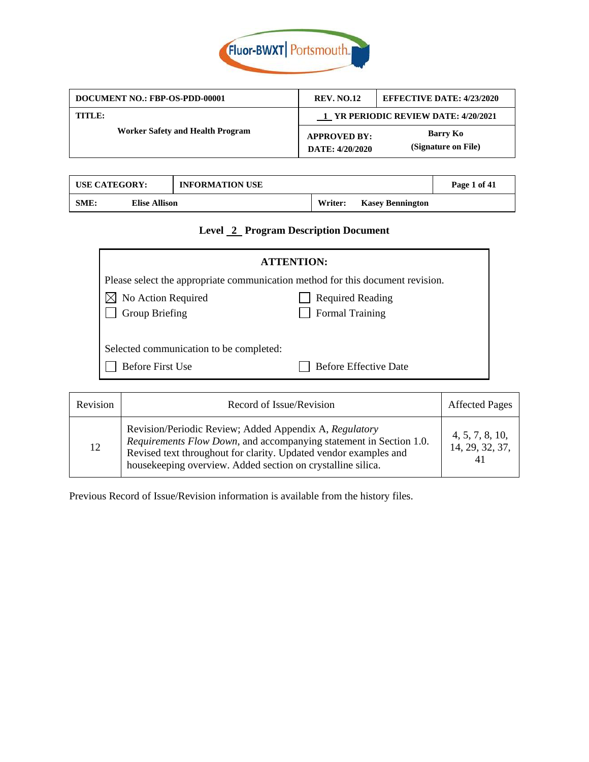

| DOCUMENT NO.: FBP-OS-PDD-00001          | <b>REV. NO.12</b>                      | <b>EFFECTIVE DATE: 4/23/2020</b> |
|-----------------------------------------|----------------------------------------|----------------------------------|
| TITLE:                                  | 1 YR PERIODIC REVIEW DATE: 4/20/2021   |                                  |
| <b>Worker Safety and Health Program</b> | <b>APPROVED BY:</b><br>DATE: 4/20/2020 | Barry Ko<br>(Signature on File)  |

| <b>USE CATEGORY:</b> |                      | <b>INFORMATION USE</b> |         |                         | Page 1 of 41 |
|----------------------|----------------------|------------------------|---------|-------------------------|--------------|
| SME:                 | <b>Elise Allison</b> |                        | Writer: | <b>Kasey Bennington</b> |              |

# **Level 2 Program Description Document**

| <b>ATTENTION:</b>                                                              |                              |  |
|--------------------------------------------------------------------------------|------------------------------|--|
| Please select the appropriate communication method for this document revision. |                              |  |
| No Action Required                                                             | <b>Required Reading</b>      |  |
| Group Briefing                                                                 | Formal Training              |  |
|                                                                                |                              |  |
| Selected communication to be completed:                                        |                              |  |
| <b>Before First Use</b>                                                        | <b>Before Effective Date</b> |  |

| Revision | Record of Issue/Revision                                                                                                                                                                                                                                        | <b>Affected Pages</b>                    |
|----------|-----------------------------------------------------------------------------------------------------------------------------------------------------------------------------------------------------------------------------------------------------------------|------------------------------------------|
| 12       | Revision/Periodic Review; Added Appendix A, Regulatory<br>Requirements Flow Down, and accompanying statement in Section 1.0.<br>Revised text throughout for clarity. Updated vendor examples and<br>housekeeping overview. Added section on crystalline silica. | 4, 5, 7, 8, 10,<br>14, 29, 32, 37,<br>41 |

Previous Record of Issue/Revision information is available from the history files.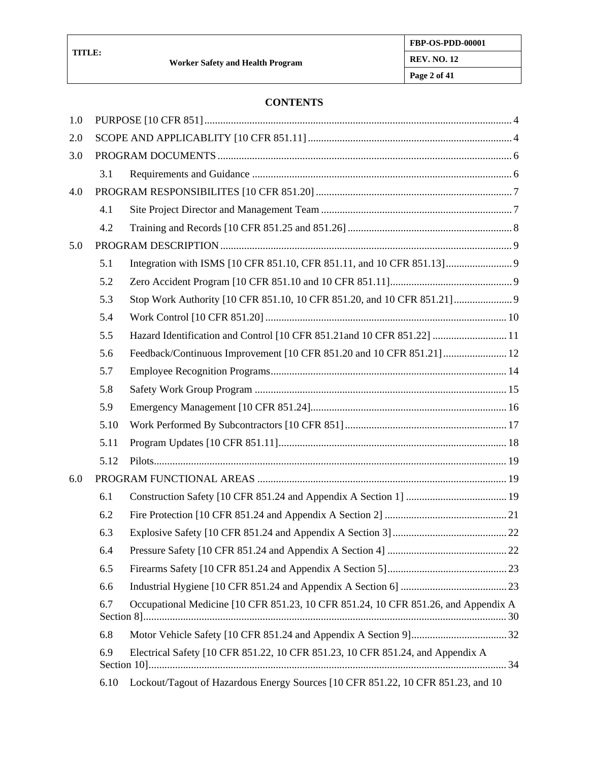#### **CONTENTS**

| 1.0 |      |                                                                                    |  |
|-----|------|------------------------------------------------------------------------------------|--|
| 2.0 |      |                                                                                    |  |
| 3.0 |      |                                                                                    |  |
|     | 3.1  |                                                                                    |  |
| 4.0 |      |                                                                                    |  |
|     | 4.1  |                                                                                    |  |
|     | 4.2  |                                                                                    |  |
| 5.0 |      |                                                                                    |  |
|     | 5.1  |                                                                                    |  |
|     | 5.2  |                                                                                    |  |
|     | 5.3  |                                                                                    |  |
|     | 5.4  |                                                                                    |  |
|     | 5.5  | Hazard Identification and Control [10 CFR 851.21and 10 CFR 851.22]  11             |  |
|     | 5.6  |                                                                                    |  |
|     | 5.7  |                                                                                    |  |
|     | 5.8  |                                                                                    |  |
|     | 5.9  |                                                                                    |  |
|     | 5.10 |                                                                                    |  |
|     | 5.11 |                                                                                    |  |
|     | 5.12 |                                                                                    |  |
| 6.0 |      |                                                                                    |  |
|     | 6.1  |                                                                                    |  |
|     | 6.2  |                                                                                    |  |
|     | 6.3  |                                                                                    |  |
|     | 6.4  |                                                                                    |  |
|     | 6.5  |                                                                                    |  |
|     | 6.6  |                                                                                    |  |
|     | 6.7  | Occupational Medicine [10 CFR 851.23, 10 CFR 851.24, 10 CFR 851.26, and Appendix A |  |
|     | 6.8  |                                                                                    |  |
|     | 6.9  | Electrical Safety [10 CFR 851.22, 10 CFR 851.23, 10 CFR 851.24, and Appendix A     |  |
|     | 6.10 | Lockout/Tagout of Hazardous Energy Sources [10 CFR 851.22, 10 CFR 851.23, and 10   |  |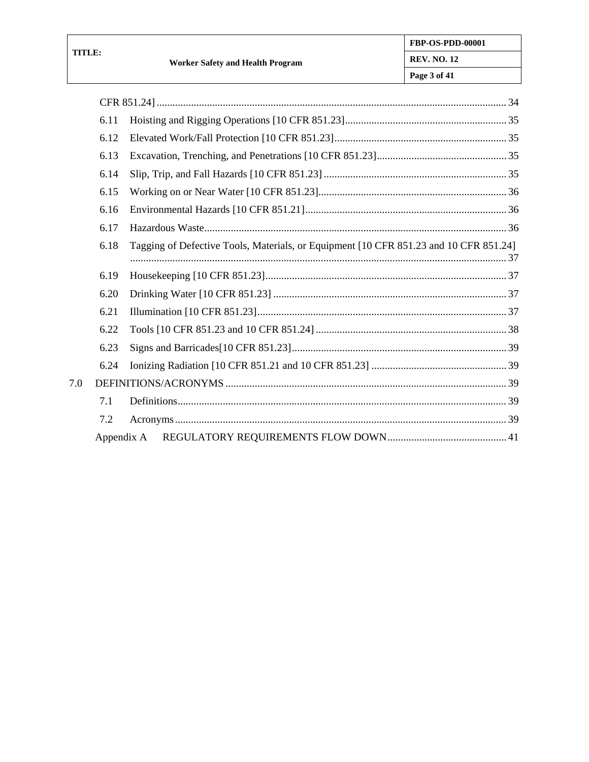$7.0\,$ 

| 6.11 |                                                                                       |
|------|---------------------------------------------------------------------------------------|
| 6.12 |                                                                                       |
| 6.13 |                                                                                       |
| 6.14 |                                                                                       |
| 6.15 |                                                                                       |
| 6.16 |                                                                                       |
| 6.17 |                                                                                       |
| 6.18 | Tagging of Defective Tools, Materials, or Equipment [10 CFR 851.23 and 10 CFR 851.24] |
| 6.19 |                                                                                       |
| 6.20 |                                                                                       |
| 6.21 |                                                                                       |
| 6.22 |                                                                                       |
| 6.23 |                                                                                       |
| 6.24 |                                                                                       |
|      |                                                                                       |
| 7.1  |                                                                                       |
| 7.2  |                                                                                       |
|      |                                                                                       |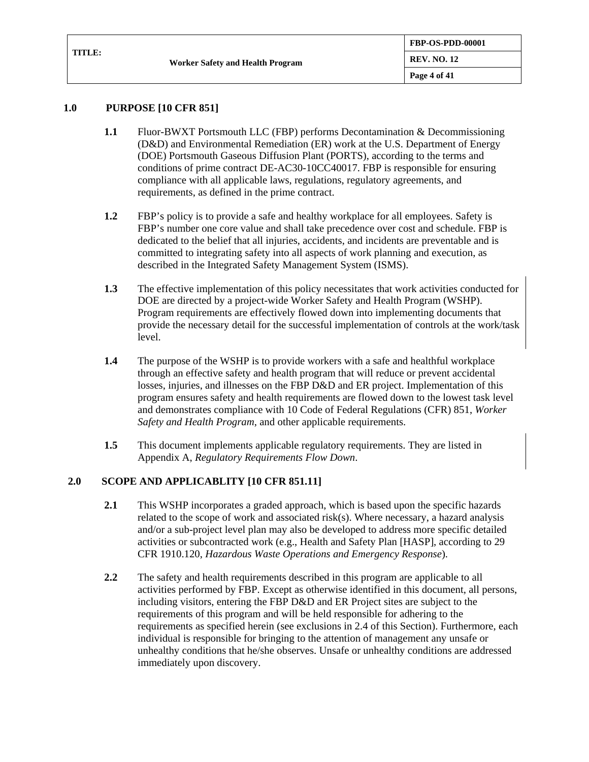#### **1.0 PURPOSE [10 CFR 851]**

- **1.1** Fluor-BWXT Portsmouth LLC (FBP) performs Decontamination & Decommissioning (D&D) and Environmental Remediation (ER) work at the U.S. Department of Energy (DOE) Portsmouth Gaseous Diffusion Plant (PORTS), according to the terms and conditions of prime contract DE-AC30-10CC40017. FBP is responsible for ensuring compliance with all applicable laws, regulations, regulatory agreements, and requirements, as defined in the prime contract.
- **1.2** FBP's policy is to provide a safe and healthy workplace for all employees. Safety is FBP's number one core value and shall take precedence over cost and schedule. FBP is dedicated to the belief that all injuries, accidents, and incidents are preventable and is committed to integrating safety into all aspects of work planning and execution, as described in the Integrated Safety Management System (ISMS).
- **1.3** The effective implementation of this policy necessitates that work activities conducted for DOE are directed by a project-wide Worker Safety and Health Program (WSHP). Program requirements are effectively flowed down into implementing documents that provide the necessary detail for the successful implementation of controls at the work/task level.
- **1.4** The purpose of the WSHP is to provide workers with a safe and healthful workplace through an effective safety and health program that will reduce or prevent accidental losses, injuries, and illnesses on the FBP D&D and ER project. Implementation of this program ensures safety and health requirements are flowed down to the lowest task level and demonstrates compliance with 10 Code of Federal Regulations (CFR) 851, *Worker Safety and Health Program*, and other applicable requirements.
- **1.5** This document implements applicable regulatory requirements. They are listed in Appendix A, *Regulatory Requirements Flow Down*.

### **2.0 SCOPE AND APPLICABLITY [10 CFR 851.11]**

- **2.1** This WSHP incorporates a graded approach, which is based upon the specific hazards related to the scope of work and associated risk(s). Where necessary, a hazard analysis and/or a sub-project level plan may also be developed to address more specific detailed activities or subcontracted work (e.g., Health and Safety Plan [HASP], according to 29 CFR 1910.120, *Hazardous Waste Operations and Emergency Response*).
- **2.2** The safety and health requirements described in this program are applicable to all activities performed by FBP. Except as otherwise identified in this document, all persons, including visitors, entering the FBP D&D and ER Project sites are subject to the requirements of this program and will be held responsible for adhering to the requirements as specified herein (see exclusions in [2.4](#page-4-0) of this Section). Furthermore, each individual is responsible for bringing to the attention of management any unsafe or unhealthy conditions that he/she observes. Unsafe or unhealthy conditions are addressed immediately upon discovery.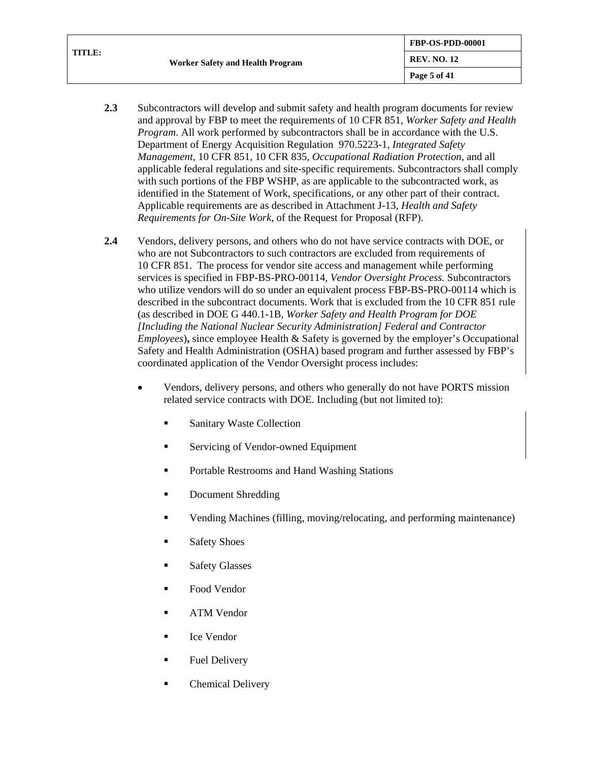| TITLE: | <b>Worker Safety and Health Program</b> | FBP-OS-PDD-00001        |
|--------|-----------------------------------------|-------------------------|
|        |                                         | <b>REV. NO. 12</b>      |
|        |                                         | $\sqrt{2}$ Page 5 of 41 |

- **2.3** Subcontractors will develop and submit safety and health program documents for review and approval by FBP to meet the requirements of 10 CFR 851, *Worker Safety and Health Program*. All work performed by subcontractors shall be in accordance with the U.S. Department of Energy Acquisition Regulation 970.5223-1, *Integrated Safety Management*, 10 CFR 851, 10 CFR 835*, Occupational Radiation Protection*, and all applicable federal regulations and site-specific requirements. Subcontractors shall comply with such portions of the FBP WSHP, as are applicable to the subcontracted work, as identified in the Statement of Work, specifications, or any other part of their contract. Applicable requirements are as described in Attachment J-13, *Health and Safety Requirements for On-Site Work*, of the Request for Proposal (RFP).
- <span id="page-4-0"></span>**2.4** Vendors, delivery persons, and others who do not have service contracts with DOE, or who are not Subcontractors to such contractors are excluded from requirements of 10 CFR 851. The process for vendor site access and management while performing services is specified in FBP-BS-PRO-00114*, Vendor Oversight Process.* Subcontractors who utilize vendors will do so under an equivalent process FBP-BS-PRO-00114 which is described in the subcontract documents. Work that is excluded from the 10 CFR 851 rule (as described in DOE G 440.1-1B, *Worker Safety and Health Program for DOE [Including the National Nuclear Security Administration] Federal and Contractor Employees*), since employee Health & Safety is governed by the employer's Occupational Safety and Health Administration (OSHA) based program and further assessed by FBP's coordinated application of the Vendor Oversight process includes:
	- Vendors, delivery persons, and others who generally do not have PORTS mission related service contracts with DOE. Including (but not limited to):
		- **Sanitary Waste Collection**
		- Servicing of Vendor-owned Equipment
		- **Portable Restrooms and Hand Washing Stations**
		- Document Shredding
		- Vending Machines (filling, moving/relocating, and performing maintenance)
		- **Safety Shoes**
		- **Safety Glasses**
		- Food Vendor
		- **ATM** Vendor
		- Ice Vendor
		- **Fuel Delivery**
		- Chemical Delivery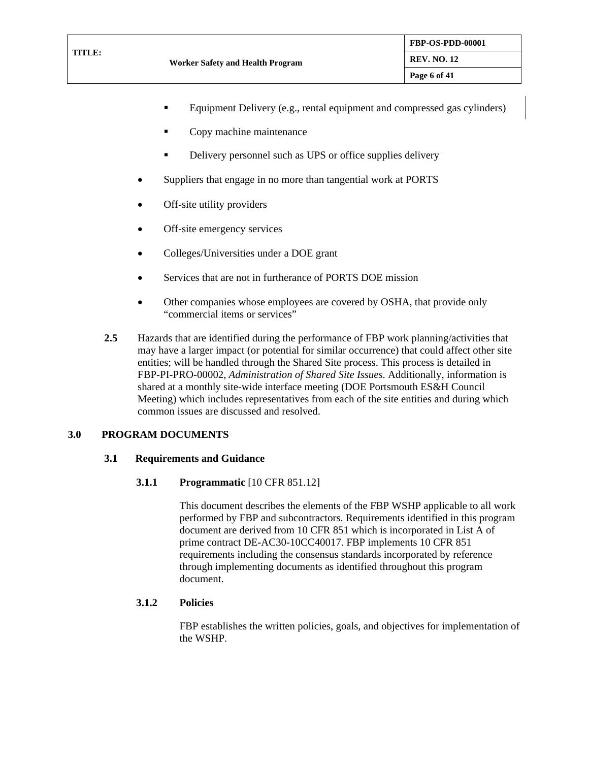- Equipment Delivery (e.g., rental equipment and compressed gas cylinders)
- Copy machine maintenance
- Delivery personnel such as UPS or office supplies delivery
- Suppliers that engage in no more than tangential work at PORTS
- Off-site utility providers
- Off-site emergency services
- Colleges/Universities under a DOE grant
- Services that are not in furtherance of PORTS DOE mission
- Other companies whose employees are covered by OSHA, that provide only "commercial items or services"
- **2.5** Hazards that are identified during the performance of FBP work planning/activities that may have a larger impact (or potential for similar occurrence) that could affect other site entities; will be handled through the Shared Site process. This process is detailed in FBP-PI-PRO-00002, *Administration of Shared Site Issues*. Additionally, information is shared at a monthly site-wide interface meeting (DOE Portsmouth ES&H Council Meeting) which includes representatives from each of the site entities and during which common issues are discussed and resolved.

#### **3.0 PROGRAM DOCUMENTS**

#### **3.1 Requirements and Guidance**

#### **3.1.1 Programmatic** [10 CFR 851.12]

This document describes the elements of the FBP WSHP applicable to all work performed by FBP and subcontractors. Requirements identified in this program document are derived from 10 CFR 851 which is incorporated in List A of prime contract DE-AC30-10CC40017. FBP implements 10 CFR 851 requirements including the consensus standards incorporated by reference through implementing documents as identified throughout this program document.

#### **3.1.2 Policies**

FBP establishes the written policies, goals, and objectives for implementation of the WSHP.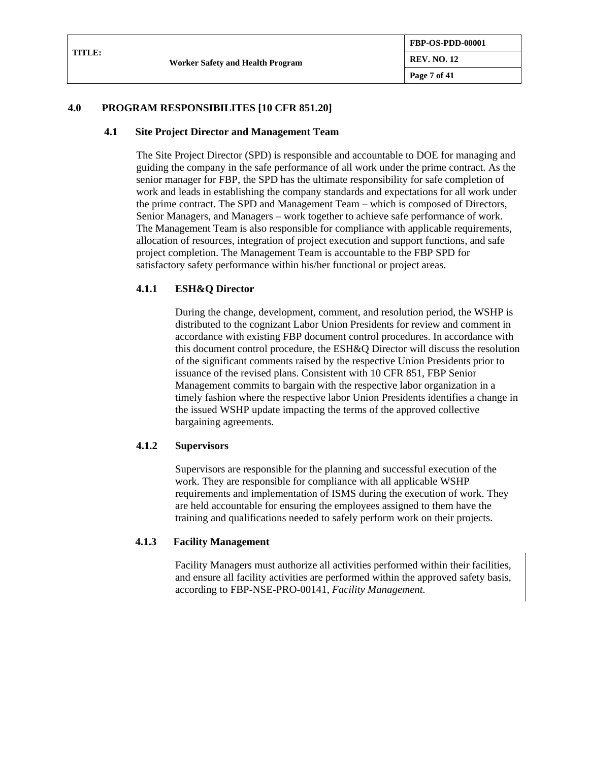| TITLE: |                                  | <b>FBP-OS-PDD-00001</b> |
|--------|----------------------------------|-------------------------|
|        | Worker Safety and Health Program | <b>REV. NO. 12</b>      |
|        |                                  | Page 7 of 41            |
|        |                                  |                         |

### **4.0 PROGRAM RESPONSIBILITES [10 CFR 851.20]**

#### **4.1 Site Project Director and Management Team**

The Site Project Director (SPD) is responsible and accountable to DOE for managing and guiding the company in the safe performance of all work under the prime contract. As the senior manager for FBP, the SPD has the ultimate responsibility for safe completion of work and leads in establishing the company standards and expectations for all work under the prime contract. The SPD and Management Team – which is composed of Directors, Senior Managers, and Managers – work together to achieve safe performance of work. The Management Team is also responsible for compliance with applicable requirements, allocation of resources, integration of project execution and support functions, and safe project completion. The Management Team is accountable to the FBP SPD for satisfactory safety performance within his/her functional or project areas.

### **4.1.1 ESH&Q Director**

During the change, development, comment, and resolution period, the WSHP is distributed to the cognizant Labor Union Presidents for review and comment in accordance with existing FBP document control procedures. In accordance with this document control procedure, the ESH&Q Director will discuss the resolution of the significant comments raised by the respective Union Presidents prior to issuance of the revised plans. Consistent with 10 CFR 851, FBP Senior Management commits to bargain with the respective labor organization in a timely fashion where the respective labor Union Presidents identifies a change in the issued WSHP update impacting the terms of the approved collective bargaining agreements.

#### **4.1.2 Supervisors**

Supervisors are responsible for the planning and successful execution of the work. They are responsible for compliance with all applicable WSHP requirements and implementation of ISMS during the execution of work. They are held accountable for ensuring the employees assigned to them have the training and qualifications needed to safely perform work on their projects.

#### **4.1.3 Facility Management**

Facility Managers must authorize all activities performed within their facilities, and ensure all facility activities are performed within the approved safety basis, according to FBP-NSE-PRO-00141, *Facility Management.*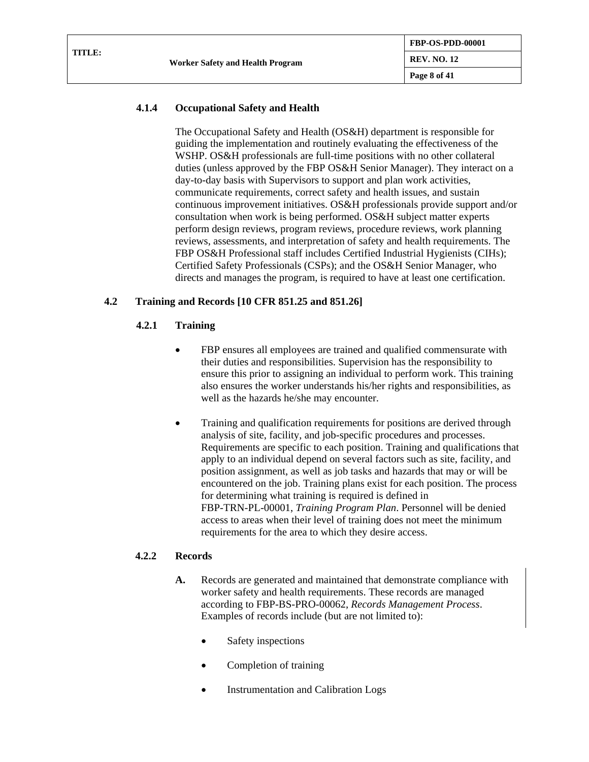## **4.1.4 Occupational Safety and Health**

The Occupational Safety and Health (OS&H) department is responsible for guiding the implementation and routinely evaluating the effectiveness of the WSHP. OS&H professionals are full-time positions with no other collateral duties (unless approved by the FBP OS&H Senior Manager). They interact on a day-to-day basis with Supervisors to support and plan work activities, communicate requirements, correct safety and health issues, and sustain continuous improvement initiatives. OS&H professionals provide support and/or consultation when work is being performed. OS&H subject matter experts perform design reviews, program reviews, procedure reviews, work planning reviews, assessments, and interpretation of safety and health requirements. The FBP OS&H Professional staff includes Certified Industrial Hygienists (CIHs); Certified Safety Professionals (CSPs); and the OS&H Senior Manager, who directs and manages the program, is required to have at least one certification.

## **4.2 Training and Records [10 CFR 851.25 and 851.26]**

## **4.2.1 Training**

- FBP ensures all employees are trained and qualified commensurate with their duties and responsibilities. Supervision has the responsibility to ensure this prior to assigning an individual to perform work. This training also ensures the worker understands his/her rights and responsibilities, as well as the hazards he/she may encounter.
- Training and qualification requirements for positions are derived through analysis of site, facility, and job-specific procedures and processes. Requirements are specific to each position. Training and qualifications that apply to an individual depend on several factors such as site, facility, and position assignment, as well as job tasks and hazards that may or will be encountered on the job. Training plans exist for each position. The process for determining what training is required is defined in FBP-TRN-PL-00001, *Training Program Plan*. Personnel will be denied access to areas when their level of training does not meet the minimum requirements for the area to which they desire access.

## **4.2.2 Records**

- **A.** Records are generated and maintained that demonstrate compliance with worker safety and health requirements. These records are managed according to FBP-BS-PRO-00062, *Records Management Process*. Examples of records include (but are not limited to):
	- Safety inspections
	- Completion of training
	- Instrumentation and Calibration Logs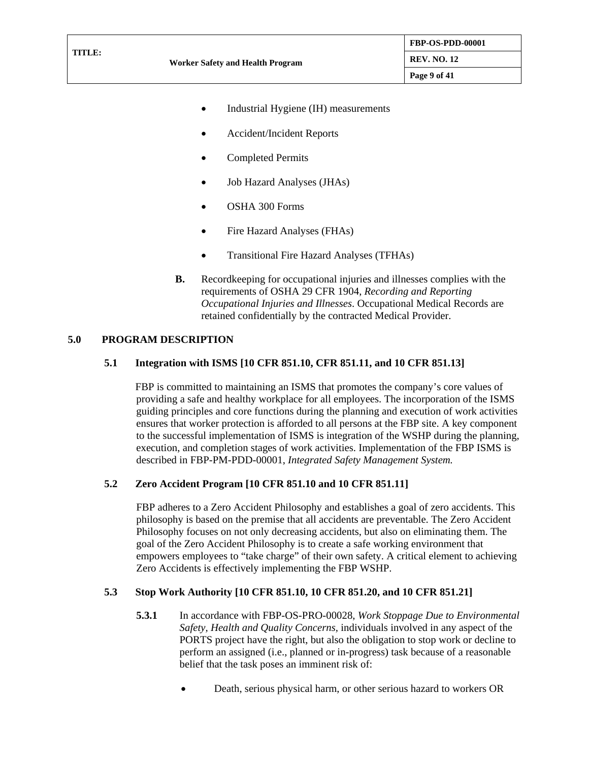- Industrial Hygiene (IH) measurements
- Accident/Incident Reports
- Completed Permits
- Job Hazard Analyses (JHAs)
- OSHA 300 Forms
- Fire Hazard Analyses (FHAs)
- Transitional Fire Hazard Analyses (TFHAs)
- **B.** Recordkeeping for occupational injuries and illnesses complies with the requirements of OSHA 29 CFR 1904, *Recording and Reporting Occupational Injuries and Illnesses*. Occupational Medical Records are retained confidentially by the contracted Medical Provider.

#### **5.0 PROGRAM DESCRIPTION**

#### **5.1 Integration with ISMS [10 CFR 851.10, CFR 851.11, and 10 CFR 851.13]**

FBP is committed to maintaining an ISMS that promotes the company's core values of providing a safe and healthy workplace for all employees. The incorporation of the ISMS guiding principles and core functions during the planning and execution of work activities ensures that worker protection is afforded to all persons at the FBP site. A key component to the successful implementation of ISMS is integration of the WSHP during the planning, execution, and completion stages of work activities. Implementation of the FBP ISMS is described in FBP-PM-PDD-00001, *Integrated Safety Management System.*

### **5.2 Zero Accident Program [10 CFR 851.10 and 10 CFR 851.11]**

FBP adheres to a Zero Accident Philosophy and establishes a goal of zero accidents. This philosophy is based on the premise that all accidents are preventable. The Zero Accident Philosophy focuses on not only decreasing accidents, but also on eliminating them. The goal of the Zero Accident Philosophy is to create a safe working environment that empowers employees to "take charge" of their own safety. A critical element to achieving Zero Accidents is effectively implementing the FBP WSHP.

#### **5.3 Stop Work Authority [10 CFR 851.10, 10 CFR 851.20, and 10 CFR 851.21]**

- **5.3.1** In accordance with FBP-OS-PRO-00028, *Work Stoppage Due to Environmental Safety, Health and Quality Concerns,* individuals involved in any aspect of the PORTS project have the right, but also the obligation to stop work or decline to perform an assigned (i.e., planned or in-progress) task because of a reasonable belief that the task poses an imminent risk of:
	- Death, serious physical harm, or other serious hazard to workers OR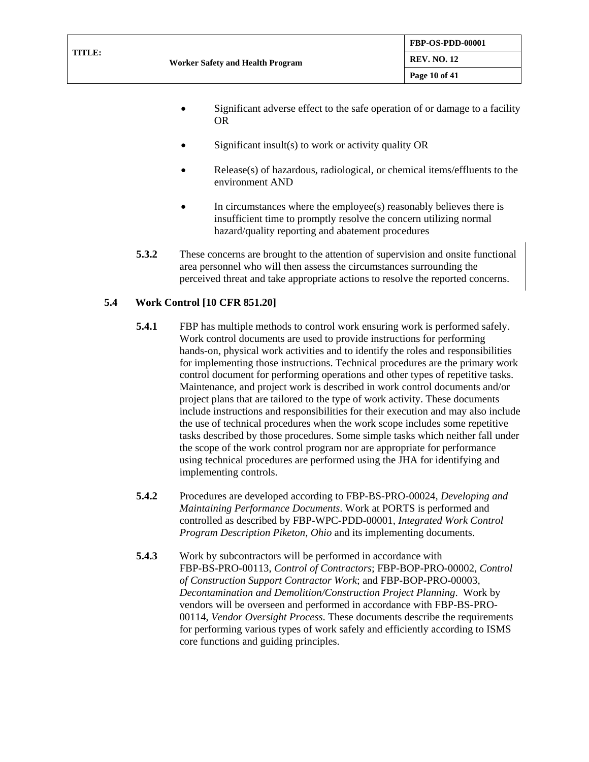| TITLE:<br><b>REV. NO. 12</b><br>Worker Safety and Health Program |  |
|------------------------------------------------------------------|--|
| Page 10 of 41                                                    |  |

- Significant adverse effect to the safe operation of or damage to a facility OR
- Significant insult(s) to work or activity quality OR
- Release(s) of hazardous, radiological, or chemical items/effluents to the environment AND
- In circumstances where the employee(s) reasonably believes there is insufficient time to promptly resolve the concern utilizing normal hazard/quality reporting and abatement procedures
- **5.3.2** These concerns are brought to the attention of supervision and onsite functional area personnel who will then assess the circumstances surrounding the perceived threat and take appropriate actions to resolve the reported concerns.

## **5.4 Work Control [10 CFR 851.20]**

- **5.4.1** FBP has multiple methods to control work ensuring work is performed safely. Work control documents are used to provide instructions for performing hands-on, physical work activities and to identify the roles and responsibilities for implementing those instructions. Technical procedures are the primary work control document for performing operations and other types of repetitive tasks. Maintenance, and project work is described in work control documents and/or project plans that are tailored to the type of work activity. These documents include instructions and responsibilities for their execution and may also include the use of technical procedures when the work scope includes some repetitive tasks described by those procedures. Some simple tasks which neither fall under the scope of the work control program nor are appropriate for performance using technical procedures are performed using the JHA for identifying and implementing controls.
- **5.4.2** Procedures are developed according to FBP-BS-PRO-00024, *Developing and Maintaining Performance Documents*. Work at PORTS is performed and controlled as described by FBP-WPC-PDD-00001, *Integrated Work Control Program Description Piketon, Ohio* and its implementing documents.
- **5.4.3** Work by subcontractors will be performed in accordance with FBP-BS-PRO-00113, *Control of Contractors*; FBP-BOP-PRO-00002, *Control of Construction Support Contractor Work*; and FBP-BOP-PRO-00003, *Decontamination and Demolition/Construction Project Planning*. Work by vendors will be overseen and performed in accordance with FBP-BS-PRO-00114, *Vendor Oversight Process*. These documents describe the requirements for performing various types of work safely and efficiently according to ISMS core functions and guiding principles.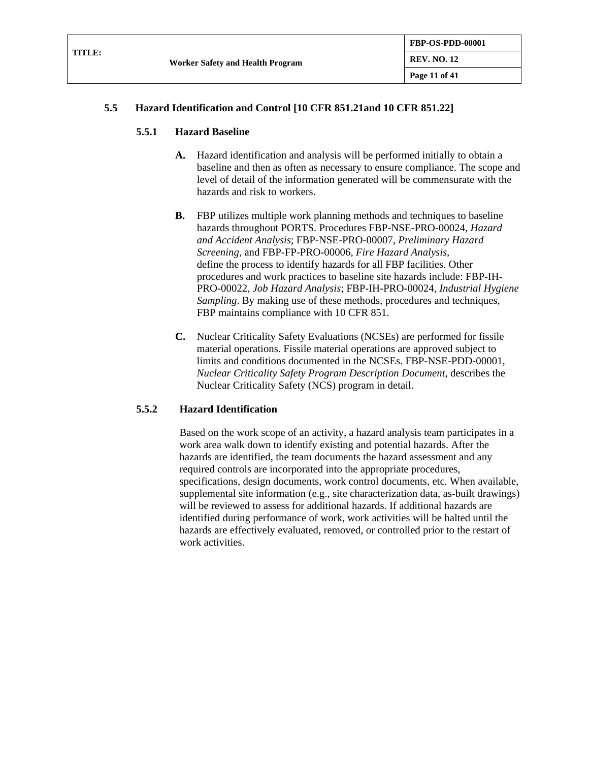| <b>TITLE:</b> | <b>Worker Safety and Health Program</b> | <b>FBP-OS-PDD-00001</b> |
|---------------|-----------------------------------------|-------------------------|
|               |                                         | <b>REV. NO. 12</b>      |
|               |                                         | Page 11 of 41           |

## **5.5 Hazard Identification and Control [10 CFR 851.21and 10 CFR 851.22]**

### **5.5.1 Hazard Baseline**

- **A.** Hazard identification and analysis will be performed initially to obtain a baseline and then as often as necessary to ensure compliance. The scope and level of detail of the information generated will be commensurate with the hazards and risk to workers.
- **B.** FBP utilizes multiple work planning methods and techniques to baseline hazards throughout PORTS. Procedures FBP-NSE-PRO-00024, *Hazard and Accident Analysis*; FBP-NSE-PRO-00007, *Preliminary Hazard Screening,* and FBP-FP-PRO-00006, *Fire Hazard Analysis,* define the process to identify hazards for all FBP facilities. Other procedures and work practices to baseline site hazards include: FBP-IH-PRO-00022, *Job Hazard Analysis*; FBP-IH-PRO-00024, *Industrial Hygiene Sampling*. By making use of these methods, procedures and techniques, FBP maintains compliance with 10 CFR 851.
- **C.** Nuclear Criticality Safety Evaluations (NCSEs) are performed for fissile material operations. Fissile material operations are approved subject to limits and conditions documented in the NCSEs. FBP-NSE-PDD-00001, *Nuclear Criticality Safety Program Description Document*, describes the Nuclear Criticality Safety (NCS) program in detail.

## **5.5.2 Hazard Identification**

Based on the work scope of an activity, a hazard analysis team participates in a work area walk down to identify existing and potential hazards. After the hazards are identified, the team documents the hazard assessment and any required controls are incorporated into the appropriate procedures, specifications, design documents, work control documents, etc. When available, supplemental site information (e.g., site characterization data, as-built drawings) will be reviewed to assess for additional hazards. If additional hazards are identified during performance of work, work activities will be halted until the hazards are effectively evaluated, removed, or controlled prior to the restart of work activities.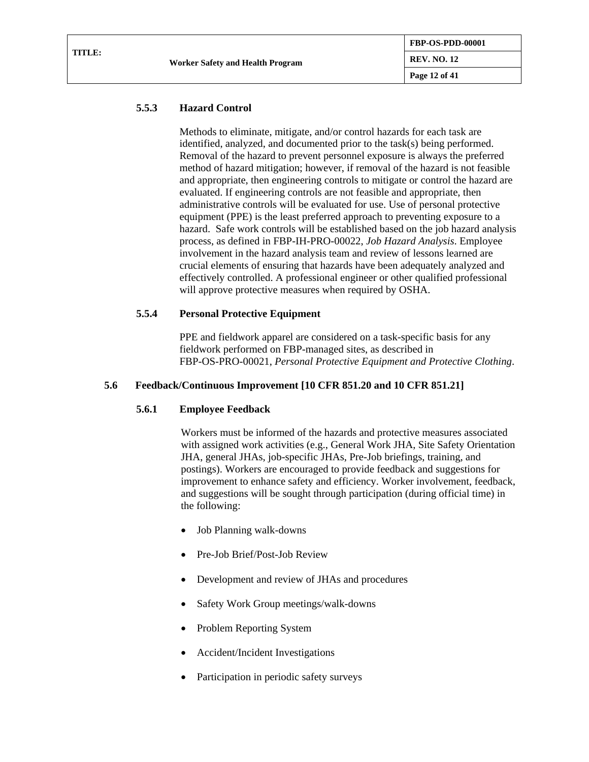### **5.5.3 Hazard Control**

Methods to eliminate, mitigate, and/or control hazards for each task are identified, analyzed, and documented prior to the task(s) being performed. Removal of the hazard to prevent personnel exposure is always the preferred method of hazard mitigation; however, if removal of the hazard is not feasible and appropriate, then engineering controls to mitigate or control the hazard are evaluated. If engineering controls are not feasible and appropriate, then administrative controls will be evaluated for use. Use of personal protective equipment (PPE) is the least preferred approach to preventing exposure to a hazard. Safe work controls will be established based on the job hazard analysis process, as defined in FBP-IH-PRO-00022, *Job Hazard Analysis*. Employee involvement in the hazard analysis team and review of lessons learned are crucial elements of ensuring that hazards have been adequately analyzed and effectively controlled. A professional engineer or other qualified professional will approve protective measures when required by OSHA.

### **5.5.4 Personal Protective Equipment**

PPE and fieldwork apparel are considered on a task-specific basis for any fieldwork performed on FBP-managed sites, as described in FBP-OS-PRO-00021, *Personal Protective Equipment and Protective Clothing*.

#### **5.6 Feedback/Continuous Improvement [10 CFR 851.20 and 10 CFR 851.21]**

#### **5.6.1 Employee Feedback**

Workers must be informed of the hazards and protective measures associated with assigned work activities (e.g., General Work JHA, Site Safety Orientation JHA, general JHAs, job-specific JHAs, Pre-Job briefings, training, and postings). Workers are encouraged to provide feedback and suggestions for improvement to enhance safety and efficiency. Worker involvement, feedback, and suggestions will be sought through participation (during official time) in the following:

- Job Planning walk-downs
- Pre-Job Brief/Post-Job Review
- Development and review of JHAs and procedures
- Safety Work Group meetings/walk-downs
- Problem Reporting System
- Accident/Incident Investigations
- Participation in periodic safety surveys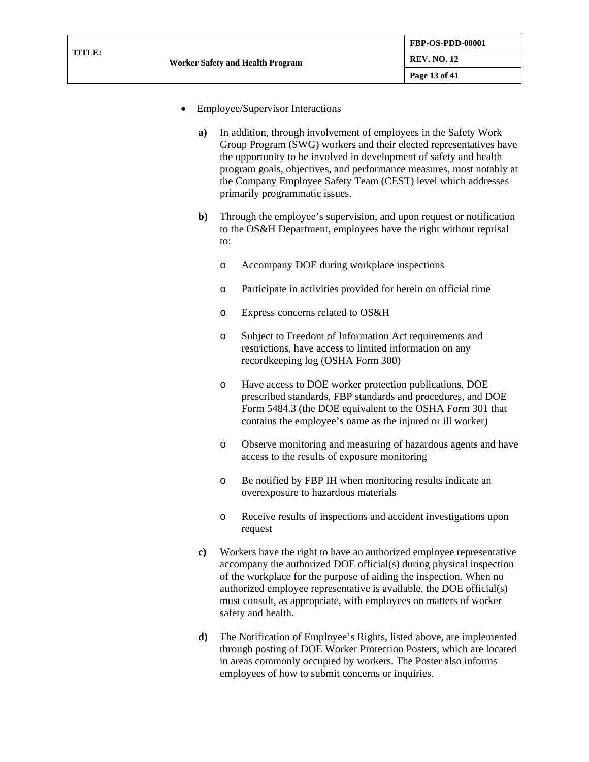- Employee/Supervisor Interactions
	- **a)** In addition, through involvement of employees in the Safety Work Group Program (SWG) workers and their elected representatives have the opportunity to be involved in development of safety and health program goals, objectives, and performance measures, most notably at the Company Employee Safety Team (CEST) level which addresses primarily programmatic issues.
	- **b)** Through the employee's supervision, and upon request or notification to the OS&H Department, employees have the right without reprisal to:
		- o Accompany DOE during workplace inspections
		- o Participate in activities provided for herein on official time
		- o Express concerns related to OS&H
		- o Subject to Freedom of Information Act requirements and restrictions, have access to limited information on any recordkeeping log (OSHA Form 300)
		- o Have access to DOE worker protection publications, DOE prescribed standards, FBP standards and procedures, and DOE Form 5484.3 (the DOE equivalent to the OSHA Form 301 that contains the employee's name as the injured or ill worker)
		- o Observe monitoring and measuring of hazardous agents and have access to the results of exposure monitoring
		- o Be notified by FBP IH when monitoring results indicate an overexposure to hazardous materials
		- o Receive results of inspections and accident investigations upon request
	- **c)** Workers have the right to have an authorized employee representative accompany the authorized DOE official(s) during physical inspection of the workplace for the purpose of aiding the inspection. When no authorized employee representative is available, the DOE official(s) must consult, as appropriate, with employees on matters of worker safety and health.
	- **d)** The Notification of Employee's Rights, listed above, are implemented through posting of DOE Worker Protection Posters, which are located in areas commonly occupied by workers. The Poster also informs employees of how to submit concerns or inquiries.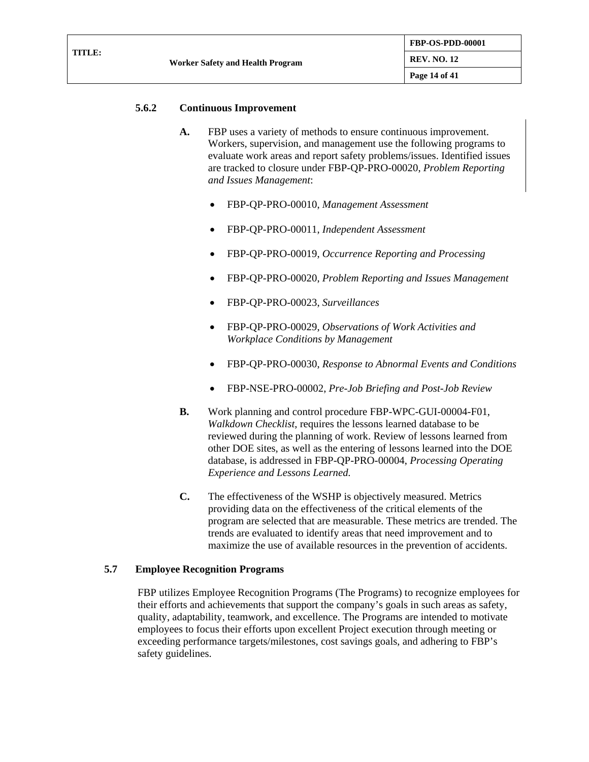|        |                                  | <b>FBP-OS-PDD-00001</b> |
|--------|----------------------------------|-------------------------|
| TITLE: | Worker Safety and Health Program | <b>REV. NO. 12</b>      |
|        |                                  | Page 14 of 41           |

### **5.6.2 Continuous Improvement**

- **A.** FBP uses a variety of methods to ensure continuous improvement. Workers, supervision, and management use the following programs to evaluate work areas and report safety problems/issues. Identified issues are tracked to closure under FBP-QP-PRO-00020, *Problem Reporting and Issues Management*:
	- FBP-QP-PRO-00010, *Management Assessment*
	- FBP-QP-PRO-00011, *Independent Assessment*
	- FBP-QP-PRO-00019, *Occurrence Reporting and Processing*
	- FBP-QP-PRO-00020, *Problem Reporting and Issues Management*
	- FBP-QP-PRO-00023, *Surveillances*
	- FBP-QP-PRO-00029, *Observations of Work Activities and Workplace Conditions by Management*
	- FBP-QP-PRO-00030, *Response to Abnormal Events and Conditions*
	- FBP-NSE-PRO-00002, *Pre-Job Briefing and Post-Job Review*
- **B.** Work planning and control procedure FBP-WPC-GUI-00004-F01, *Walkdown Checklist*, requires the lessons learned database to be reviewed during the planning of work. Review of lessons learned from other DOE sites, as well as the entering of lessons learned into the DOE database, is addressed in FBP-QP-PRO-00004, *Processing Operating Experience and Lessons Learned.*
- **C.** The effectiveness of the WSHP is objectively measured. Metrics providing data on the effectiveness of the critical elements of the program are selected that are measurable. These metrics are trended. The trends are evaluated to identify areas that need improvement and to maximize the use of available resources in the prevention of accidents.

## **5.7 Employee Recognition Programs**

FBP utilizes Employee Recognition Programs (The Programs) to recognize employees for their efforts and achievements that support the company's goals in such areas as safety, quality, adaptability, teamwork, and excellence. The Programs are intended to motivate employees to focus their efforts upon excellent Project execution through meeting or exceeding performance targets/milestones, cost savings goals, and adhering to FBP's safety guidelines.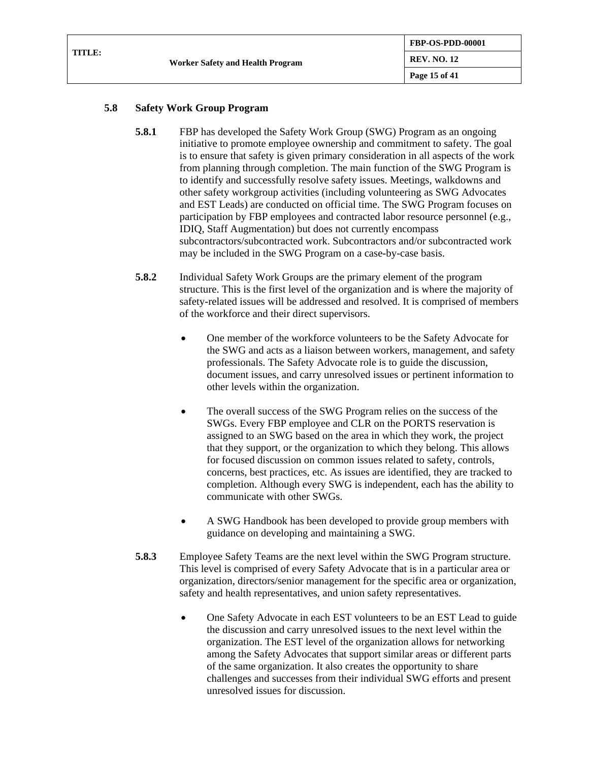|        |                                         | <b>FBP-OS-PDD-00001</b> |
|--------|-----------------------------------------|-------------------------|
| TITLE: | <b>Worker Safety and Health Program</b> | <b>REV. NO. 12</b>      |
|        |                                         | Page 15 of 41           |

## **5.8 Safety Work Group Program**

- **5.8.1** FBP has developed the Safety Work Group (SWG) Program as an ongoing initiative to promote employee ownership and commitment to safety. The goal is to ensure that safety is given primary consideration in all aspects of the work from planning through completion. The main function of the SWG Program is to identify and successfully resolve safety issues. Meetings, walkdowns and other safety workgroup activities (including volunteering as SWG Advocates and EST Leads) are conducted on official time. The SWG Program focuses on participation by FBP employees and contracted labor resource personnel (e.g., IDIQ, Staff Augmentation) but does not currently encompass subcontractors/subcontracted work. Subcontractors and/or subcontracted work may be included in the SWG Program on a case-by-case basis.
- **5.8.2** Individual Safety Work Groups are the primary element of the program structure. This is the first level of the organization and is where the majority of safety-related issues will be addressed and resolved. It is comprised of members of the workforce and their direct supervisors.
	- One member of the workforce volunteers to be the Safety Advocate for the SWG and acts as a liaison between workers, management, and safety professionals. The Safety Advocate role is to guide the discussion, document issues, and carry unresolved issues or pertinent information to other levels within the organization.
	- The overall success of the SWG Program relies on the success of the SWGs. Every FBP employee and CLR on the PORTS reservation is assigned to an SWG based on the area in which they work, the project that they support, or the organization to which they belong. This allows for focused discussion on common issues related to safety, controls, concerns, best practices, etc. As issues are identified, they are tracked to completion. Although every SWG is independent, each has the ability to communicate with other SWGs.
	- A SWG Handbook has been developed to provide group members with guidance on developing and maintaining a SWG.
- **5.8.3** Employee Safety Teams are the next level within the SWG Program structure. This level is comprised of every Safety Advocate that is in a particular area or organization, directors/senior management for the specific area or organization, safety and health representatives, and union safety representatives.
	- One Safety Advocate in each EST volunteers to be an EST Lead to guide the discussion and carry unresolved issues to the next level within the organization. The EST level of the organization allows for networking among the Safety Advocates that support similar areas or different parts of the same organization. It also creates the opportunity to share challenges and successes from their individual SWG efforts and present unresolved issues for discussion.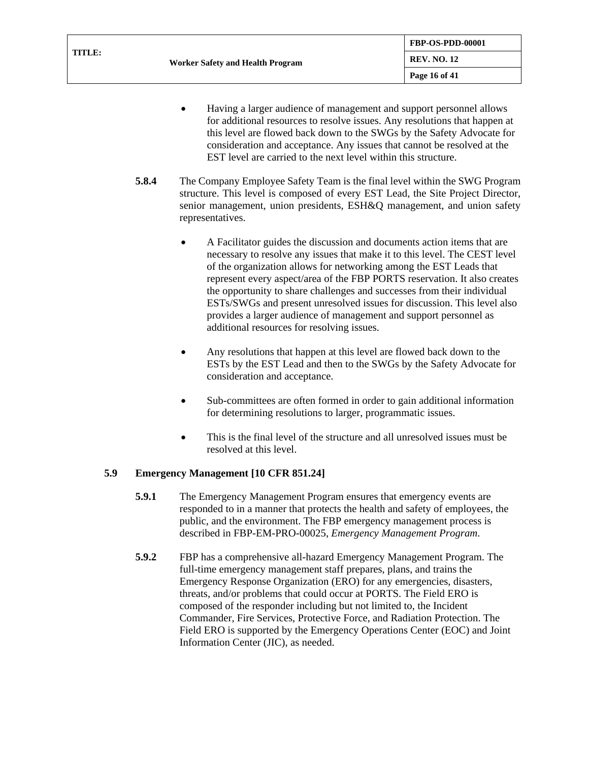| TITLE: | <b>Worker Safety and Health Program</b> | FBP-OS-PDD-00001   |
|--------|-----------------------------------------|--------------------|
|        |                                         | <b>REV. NO. 12</b> |
|        |                                         | Page 16 of 41      |

- Having a larger audience of management and support personnel allows for additional resources to resolve issues. Any resolutions that happen at this level are flowed back down to the SWGs by the Safety Advocate for consideration and acceptance. Any issues that cannot be resolved at the EST level are carried to the next level within this structure.
- **5.8.4** The Company Employee Safety Team is the final level within the SWG Program structure. This level is composed of every EST Lead, the Site Project Director, senior management, union presidents, ESH&Q management, and union safety representatives.
	- A Facilitator guides the discussion and documents action items that are necessary to resolve any issues that make it to this level. The CEST level of the organization allows for networking among the EST Leads that represent every aspect/area of the FBP PORTS reservation. It also creates the opportunity to share challenges and successes from their individual ESTs/SWGs and present unresolved issues for discussion. This level also provides a larger audience of management and support personnel as additional resources for resolving issues.
	- Any resolutions that happen at this level are flowed back down to the ESTs by the EST Lead and then to the SWGs by the Safety Advocate for consideration and acceptance.
	- Sub-committees are often formed in order to gain additional information for determining resolutions to larger, programmatic issues.
	- This is the final level of the structure and all unresolved issues must be resolved at this level.

## **5.9 Emergency Management [10 CFR 851.24]**

- **5.9.1** The Emergency Management Program ensures that emergency events are responded to in a manner that protects the health and safety of employees, the public, and the environment. The FBP emergency management process is described in FBP-EM-PRO-00025, *Emergency Management Program*.
- **5.9.2** FBP has a comprehensive all-hazard Emergency Management Program. The full-time emergency management staff prepares, plans, and trains the Emergency Response Organization (ERO) for any emergencies, disasters, threats, and/or problems that could occur at PORTS. The Field ERO is composed of the responder including but not limited to, the Incident Commander, Fire Services, Protective Force, and Radiation Protection. The Field ERO is supported by the Emergency Operations Center (EOC) and Joint Information Center (JIC), as needed.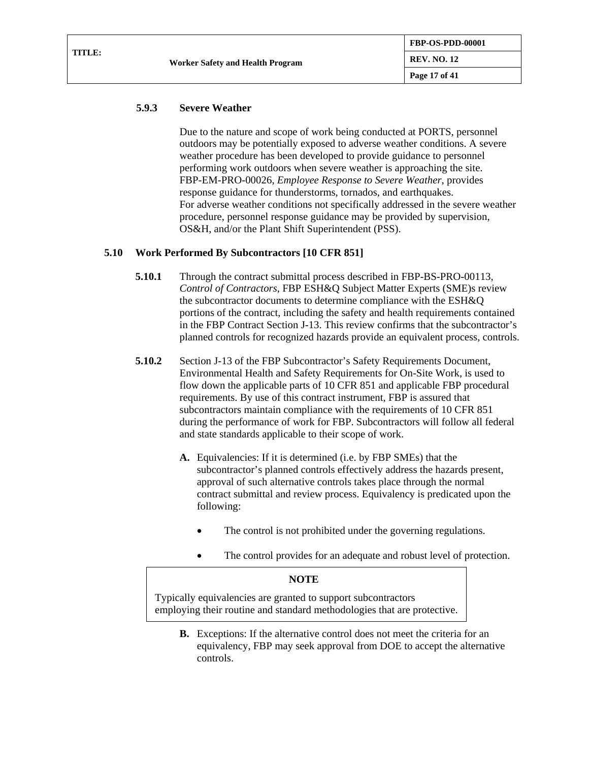#### **5.9.3 Severe Weather**

Due to the nature and scope of work being conducted at PORTS, personnel outdoors may be potentially exposed to adverse weather conditions. A severe weather procedure has been developed to provide guidance to personnel performing work outdoors when severe weather is approaching the site. FBP-EM-PRO-00026, *Employee Response to Severe Weather*, provides response guidance for thunderstorms, tornados, and earthquakes. For adverse weather conditions not specifically addressed in the severe weather procedure, personnel response guidance may be provided by supervision, OS&H, and/or the Plant Shift Superintendent (PSS).

#### **5.10 Work Performed By Subcontractors [10 CFR 851]**

- **5.10.1** Through the contract submittal process described in FBP-BS-PRO-00113, *Control of Contractors*, FBP ESH&Q Subject Matter Experts (SME)s review the subcontractor documents to determine compliance with the ESH&Q portions of the contract, including the safety and health requirements contained in the FBP Contract Section J-13. This review confirms that the subcontractor's planned controls for recognized hazards provide an equivalent process, controls.
- **5.10.2** Section J-13 of the FBP Subcontractor's Safety Requirements Document, Environmental Health and Safety Requirements for On-Site Work, is used to flow down the applicable parts of 10 CFR 851 and applicable FBP procedural requirements. By use of this contract instrument, FBP is assured that subcontractors maintain compliance with the requirements of 10 CFR 851 during the performance of work for FBP. Subcontractors will follow all federal and state standards applicable to their scope of work.
	- **A.** Equivalencies: If it is determined (i.e. by FBP SMEs) that the subcontractor's planned controls effectively address the hazards present, approval of such alternative controls takes place through the normal contract submittal and review process. Equivalency is predicated upon the following:
		- The control is not prohibited under the governing regulations.
		- The control provides for an adequate and robust level of protection.

#### **NOTE**

Typically equivalencies are granted to support subcontractors employing their routine and standard methodologies that are protective.

**B.** Exceptions: If the alternative control does not meet the criteria for an equivalency, FBP may seek approval from DOE to accept the alternative controls.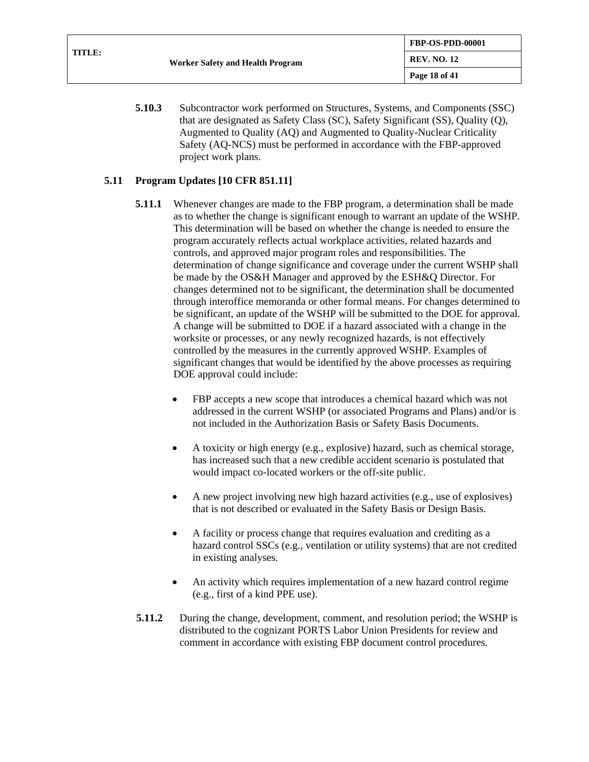**5.10.3** Subcontractor work performed on Structures, Systems, and Components (SSC) that are designated as Safety Class (SC), Safety Significant (SS), Quality (Q), Augmented to Quality (AQ) and Augmented to Quality-Nuclear Criticality Safety (AQ-NCS) must be performed in accordance with the FBP-approved project work plans.

### <span id="page-17-0"></span>**5.11 Program Updates [10 CFR 851.11]**

- **5.11.1** Whenever changes are made to the FBP program, a determination shall be made as to whether the change is significant enough to warrant an update of the WSHP. This determination will be based on whether the change is needed to ensure the program accurately reflects actual workplace activities, related hazards and controls, and approved major program roles and responsibilities. The determination of change significance and coverage under the current WSHP shall be made by the OS&H Manager and approved by the ESH&Q Director. For changes determined not to be significant, the determination shall be documented through interoffice memoranda or other formal means. For changes determined to be significant, an update of the WSHP will be submitted to the DOE for approval. A change will be submitted to DOE if a hazard associated with a change in the worksite or processes, or any newly recognized hazards, is not effectively controlled by the measures in the currently approved WSHP. Examples of significant changes that would be identified by the above processes as requiring DOE approval could include:
	- FBP accepts a new scope that introduces a chemical hazard which was not addressed in the current WSHP (or associated Programs and Plans) and/or is not included in the Authorization Basis or Safety Basis Documents.
	- A toxicity or high energy (e.g., explosive) hazard, such as chemical storage, has increased such that a new credible accident scenario is postulated that would impact co-located workers or the off-site public.
	- A new project involving new high hazard activities (e.g., use of explosives) that is not described or evaluated in the Safety Basis or Design Basis.
	- A facility or process change that requires evaluation and crediting as a hazard control SSCs (e.g., ventilation or utility systems) that are not credited in existing analyses.
	- An activity which requires implementation of a new hazard control regime (e.g., first of a kind PPE use).
- **5.11.2** During the change, development, comment, and resolution period; the WSHP is distributed to the cognizant PORTS Labor Union Presidents for review and comment in accordance with existing FBP document control procedures.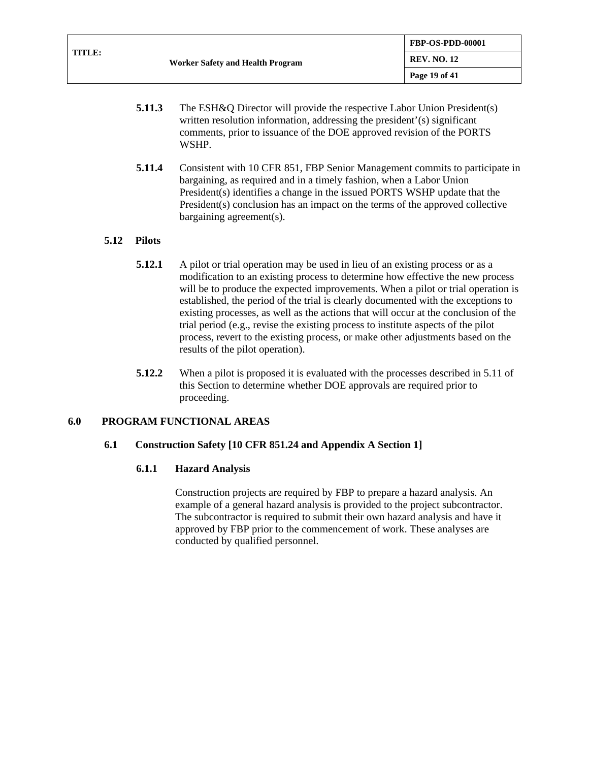| TITLE: |                                  | <b>FBP-OS-PDD-00001</b> |
|--------|----------------------------------|-------------------------|
|        | Worker Safety and Health Program | <b>REV. NO. 12</b>      |
|        |                                  | Page 19 of $41$         |

- **5.11.3** The ESH&Q Director will provide the respective Labor Union President(s) written resolution information, addressing the president'(s) significant comments, prior to issuance of the DOE approved revision of the PORTS WSHP.
- **5.11.4** Consistent with 10 CFR 851, FBP Senior Management commits to participate in bargaining, as required and in a timely fashion, when a Labor Union President(s) identifies a change in the issued PORTS WSHP update that the President(s) conclusion has an impact on the terms of the approved collective bargaining agreement(s).

## **5.12 Pilots**

- **5.12.1** A pilot or trial operation may be used in lieu of an existing process or as a modification to an existing process to determine how effective the new process will be to produce the expected improvements. When a pilot or trial operation is established, the period of the trial is clearly documented with the exceptions to existing processes, as well as the actions that will occur at the conclusion of the trial period (e.g., revise the existing process to institute aspects of the pilot process, revert to the existing process, or make other adjustments based on the results of the pilot operation).
- **5.12.2** When a pilot is proposed it is evaluated with the processes described in [5.11](#page-17-0) of this Section to determine whether DOE approvals are required prior to proceeding.

## **6.0 PROGRAM FUNCTIONAL AREAS**

#### **6.1 Construction Safety [10 CFR 851.24 and Appendix A Section 1]**

#### **6.1.1 Hazard Analysis**

Construction projects are required by FBP to prepare a hazard analysis. An example of a general hazard analysis is provided to the project subcontractor. The subcontractor is required to submit their own hazard analysis and have it approved by FBP prior to the commencement of work. These analyses are conducted by qualified personnel.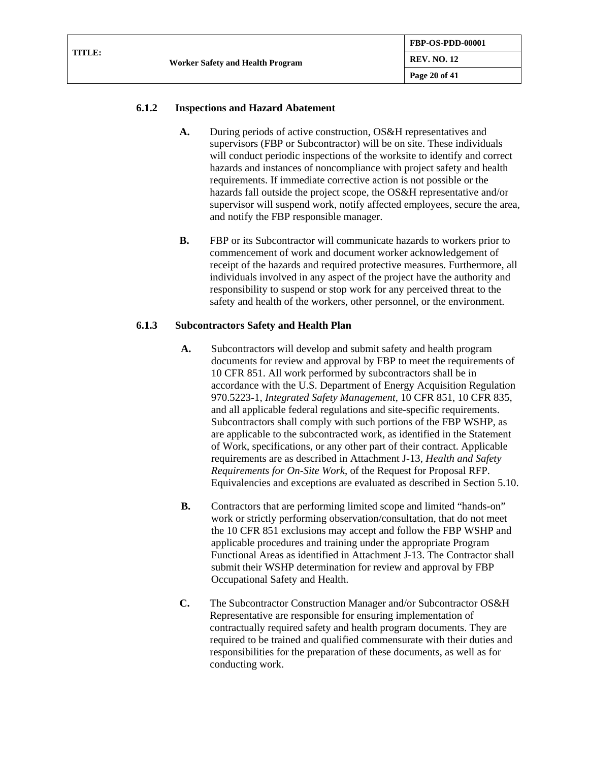| TITLE: | Worker Safety and Health Program | <b>FBP-OS-PDD-00001</b> |
|--------|----------------------------------|-------------------------|
|        |                                  | <b>REV. NO. 12</b>      |
|        |                                  | Page 20 of 41           |

### **6.1.2 Inspections and Hazard Abatement**

- A. During periods of active construction, OS&H representatives and supervisors (FBP or Subcontractor) will be on site. These individuals will conduct periodic inspections of the worksite to identify and correct hazards and instances of noncompliance with project safety and health requirements. If immediate corrective action is not possible or the hazards fall outside the project scope, the OS&H representative and/or supervisor will suspend work, notify affected employees, secure the area, and notify the FBP responsible manager.
- **B.** FBP or its Subcontractor will communicate hazards to workers prior to commencement of work and document worker acknowledgement of receipt of the hazards and required protective measures. Furthermore, all individuals involved in any aspect of the project have the authority and responsibility to suspend or stop work for any perceived threat to the safety and health of the workers, other personnel, or the environment.

### **6.1.3 Subcontractors Safety and Health Plan**

- **A.** Subcontractors will develop and submit safety and health program documents for review and approval by FBP to meet the requirements of 10 CFR 851. All work performed by subcontractors shall be in accordance with the U.S. Department of Energy Acquisition Regulation 970.5223-1, *Integrated Safety Management*, 10 CFR 851, 10 CFR 835, and all applicable federal regulations and site-specific requirements. Subcontractors shall comply with such portions of the FBP WSHP, as are applicable to the subcontracted work, as identified in the Statement of Work, specifications, or any other part of their contract. Applicable requirements are as described in Attachment J-13, *Health and Safety Requirements for On-Site Work*, of the Request for Proposal RFP. Equivalencies and exceptions are evaluated as described in Section 5.10.
- **B.** Contractors that are performing limited scope and limited "hands-on" work or strictly performing observation/consultation, that do not meet the 10 CFR 851 exclusions may accept and follow the FBP WSHP and applicable procedures and training under the appropriate Program Functional Areas as identified in Attachment J-13. The Contractor shall submit their WSHP determination for review and approval by FBP Occupational Safety and Health.
- **C.** The Subcontractor Construction Manager and/or Subcontractor OS&H Representative are responsible for ensuring implementation of contractually required safety and health program documents. They are required to be trained and qualified commensurate with their duties and responsibilities for the preparation of these documents, as well as for conducting work.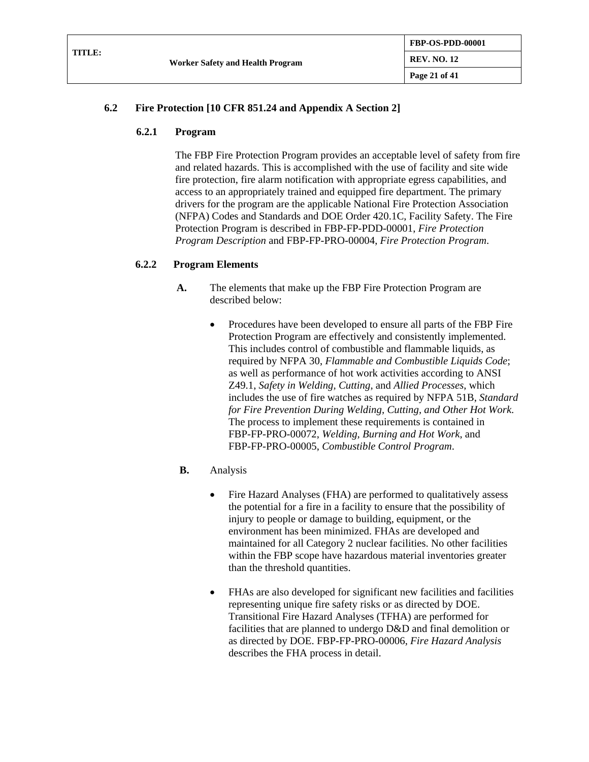| <b>TITLE:</b> | <b>Worker Safety and Health Program</b> | <b>FBP-OS-PDD-00001</b> |
|---------------|-----------------------------------------|-------------------------|
|               |                                         | <b>REV. NO. 12</b>      |
|               |                                         | Page 21 of 41           |

## **6.2 Fire Protection [10 CFR 851.24 and Appendix A Section 2]**

### **6.2.1 Program**

The FBP Fire Protection Program provides an acceptable level of safety from fire and related hazards. This is accomplished with the use of facility and site wide fire protection, fire alarm notification with appropriate egress capabilities, and access to an appropriately trained and equipped fire department. The primary drivers for the program are the applicable National Fire Protection Association (NFPA) Codes and Standards and DOE Order 420.1C, Facility Safety. The Fire Protection Program is described in FBP-FP-PDD-00001, *Fire Protection Program Description* and FBP-FP-PRO-00004, *Fire Protection Program*.

## **6.2.2 Program Elements**

- **A.** The elements that make up the FBP Fire Protection Program are described below:
	- Procedures have been developed to ensure all parts of the FBP Fire Protection Program are effectively and consistently implemented. This includes control of combustible and flammable liquids, as required by NFPA 30, *Flammable and Combustible Liquids Code*; as well as performance of hot work activities according to ANSI Z49.1, *Safety in Welding, Cutting,* and *Allied Processes*, which includes the use of fire watches as required by NFPA 51B, *Standard for Fire Prevention During Welding, Cutting, and Other Hot Work*. The process to implement these requirements is contained in FBP-FP-PRO-00072, *Welding, Burning and Hot Work*, and FBP-FP-PRO-00005, *Combustible Control Program*.
- **B.** Analysis
	- Fire Hazard Analyses (FHA) are performed to qualitatively assess the potential for a fire in a facility to ensure that the possibility of injury to people or damage to building, equipment, or the environment has been minimized. FHAs are developed and maintained for all Category 2 nuclear facilities. No other facilities within the FBP scope have hazardous material inventories greater than the threshold quantities.
	- FHAs are also developed for significant new facilities and facilities representing unique fire safety risks or as directed by DOE. Transitional Fire Hazard Analyses (TFHA) are performed for facilities that are planned to undergo D&D and final demolition or as directed by DOE. FBP-FP-PRO-00006, *Fire Hazard Analysis* describes the FHA process in detail.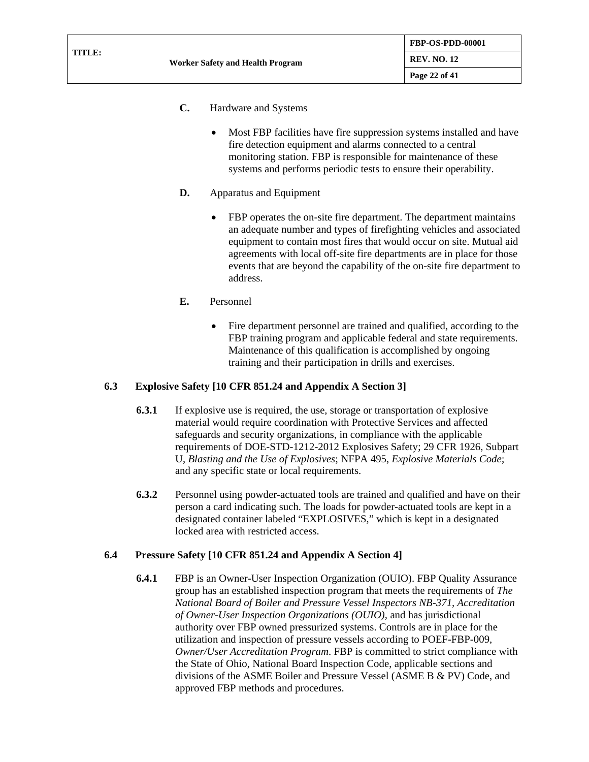- **C.** Hardware and Systems
	- Most FBP facilities have fire suppression systems installed and have fire detection equipment and alarms connected to a central monitoring station. FBP is responsible for maintenance of these systems and performs periodic tests to ensure their operability.
- **D.** Apparatus and Equipment
	- FBP operates the on-site fire department. The department maintains an adequate number and types of firefighting vehicles and associated equipment to contain most fires that would occur on site. Mutual aid agreements with local off-site fire departments are in place for those events that are beyond the capability of the on-site fire department to address.
- **E.** Personnel
	- Fire department personnel are trained and qualified, according to the FBP training program and applicable federal and state requirements. Maintenance of this qualification is accomplished by ongoing training and their participation in drills and exercises.

## **6.3 Explosive Safety [10 CFR 851.24 and Appendix A Section 3]**

- **6.3.1** If explosive use is required, the use, storage or transportation of explosive material would require coordination with Protective Services and affected safeguards and security organizations, in compliance with the applicable requirements of DOE-STD-1212-2012 Explosives Safety; 29 CFR 1926, Subpart U, *Blasting and the Use of Explosives*; NFPA 495, *Explosive Materials Code*; and any specific state or local requirements.
- **6.3.2** Personnel using powder-actuated tools are trained and qualified and have on their person a card indicating such. The loads for powder-actuated tools are kept in a designated container labeled "EXPLOSIVES," which is kept in a designated locked area with restricted access.

## **6.4 Pressure Safety [10 CFR 851.24 and Appendix A Section 4]**

**6.4.1** FBP is an Owner-User Inspection Organization (OUIO). FBP Quality Assurance group has an established inspection program that meets the requirements of *The National Board of Boiler and Pressure Vessel Inspectors NB-371, Accreditation of Owner-User Inspection Organizations (OUIO),* and has jurisdictional authority over FBP owned pressurized systems. Controls are in place for the utilization and inspection of pressure vessels according to POEF-FBP-009, *Owner/User Accreditation Program*. FBP is committed to strict compliance with the State of Ohio, National Board Inspection Code, applicable sections and divisions of the ASME Boiler and Pressure Vessel (ASME B & PV) Code, and approved FBP methods and procedures.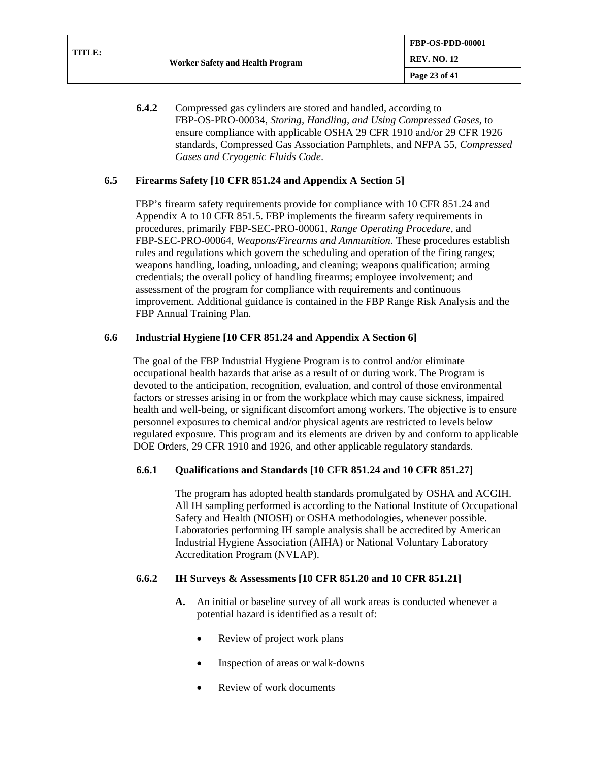**FBP-OS-PDD-00001**

**6.4.2** Compressed gas cylinders are stored and handled, according to FBP-OS-PRO-00034, *Storing, Handling, and Using Compressed Gases*, to ensure compliance with applicable OSHA 29 CFR 1910 and/or 29 CFR 1926 standards, Compressed Gas Association Pamphlets, and NFPA 55, *Compressed Gases and Cryogenic Fluids Code*.

### **6.5 Firearms Safety [10 CFR 851.24 and Appendix A Section 5]**

FBP's firearm safety requirements provide for compliance with 10 CFR 851.24 and Appendix A to 10 CFR 851.5. FBP implements the firearm safety requirements in procedures, primarily FBP-SEC-PRO-00061, *Range Operating Procedure*, and FBP-SEC-PRO-00064, *Weapons/Firearms and Ammunition*. These procedures establish rules and regulations which govern the scheduling and operation of the firing ranges; weapons handling, loading, unloading, and cleaning; weapons qualification; arming credentials; the overall policy of handling firearms; employee involvement; and assessment of the program for compliance with requirements and continuous improvement. Additional guidance is contained in the FBP Range Risk Analysis and the FBP Annual Training Plan.

### **6.6 Industrial Hygiene [10 CFR 851.24 and Appendix A Section 6]**

The goal of the FBP Industrial Hygiene Program is to control and/or eliminate occupational health hazards that arise as a result of or during work. The Program is devoted to the anticipation, recognition, evaluation, and control of those environmental factors or stresses arising in or from the workplace which may cause sickness, impaired health and well-being, or significant discomfort among workers. The objective is to ensure personnel exposures to chemical and/or physical agents are restricted to levels below regulated exposure. This program and its elements are driven by and conform to applicable DOE Orders, 29 CFR 1910 and 1926, and other applicable regulatory standards.

#### **6.6.1 Qualifications and Standards [10 CFR 851.24 and 10 CFR 851.27]**

The program has adopted health standards promulgated by OSHA and ACGIH. All IH sampling performed is according to the National Institute of Occupational Safety and Health (NIOSH) or OSHA methodologies, whenever possible. Laboratories performing IH sample analysis shall be accredited by American Industrial Hygiene Association (AIHA) or National Voluntary Laboratory Accreditation Program (NVLAP).

#### **6.6.2 IH Surveys & Assessments [10 CFR 851.20 and 10 CFR 851.21]**

- **A.** An initial or baseline survey of all work areas is conducted whenever a potential hazard is identified as a result of:
	- Review of project work plans
	- Inspection of areas or walk-downs
	- Review of work documents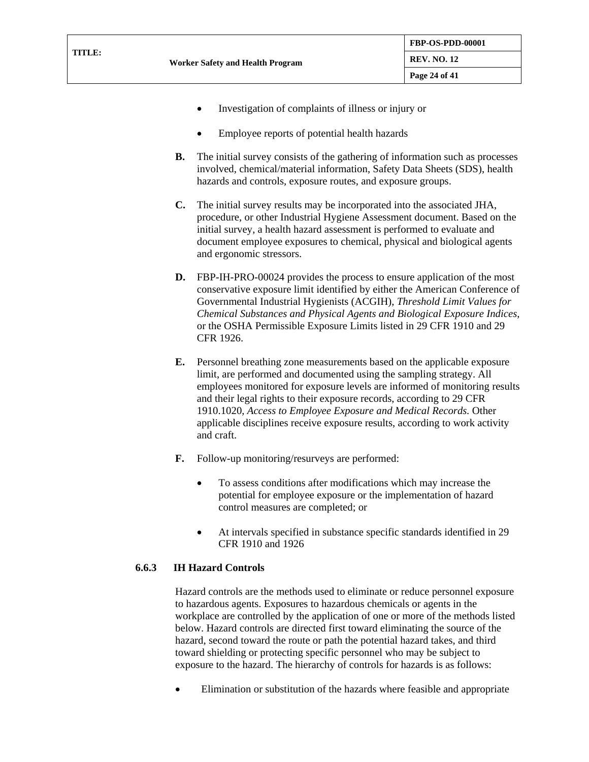- Investigation of complaints of illness or injury or
- Employee reports of potential health hazards
- **B.** The initial survey consists of the gathering of information such as processes involved, chemical/material information, Safety Data Sheets (SDS), health hazards and controls, exposure routes, and exposure groups.
- **C.** The initial survey results may be incorporated into the associated JHA, procedure, or other Industrial Hygiene Assessment document. Based on the initial survey, a health hazard assessment is performed to evaluate and document employee exposures to chemical, physical and biological agents and ergonomic stressors.
- **D.** FBP-IH-PRO-00024 provides the process to ensure application of the most conservative exposure limit identified by either the American Conference of Governmental Industrial Hygienists (ACGIH), *Threshold Limit Values for Chemical Substances and Physical Agents and Biological Exposure Indices*, or the OSHA Permissible Exposure Limits listed in 29 CFR 1910 and 29 CFR 1926.
- **E.** Personnel breathing zone measurements based on the applicable exposure limit, are performed and documented using the sampling strategy. All employees monitored for exposure levels are informed of monitoring results and their legal rights to their exposure records, according to 29 CFR 1910.1020, *Access to Employee Exposure and Medical Records.* Other applicable disciplines receive exposure results, according to work activity and craft.
- **F.** Follow-up monitoring/resurveys are performed:
	- To assess conditions after modifications which may increase the potential for employee exposure or the implementation of hazard control measures are completed; or
	- At intervals specified in substance specific standards identified in 29 CFR 1910 and 1926

## **6.6.3 IH Hazard Controls**

Hazard controls are the methods used to eliminate or reduce personnel exposure to hazardous agents. Exposures to hazardous chemicals or agents in the workplace are controlled by the application of one or more of the methods listed below. Hazard controls are directed first toward eliminating the source of the hazard, second toward the route or path the potential hazard takes, and third toward shielding or protecting specific personnel who may be subject to exposure to the hazard. The hierarchy of controls for hazards is as follows:

• Elimination or substitution of the hazards where feasible and appropriate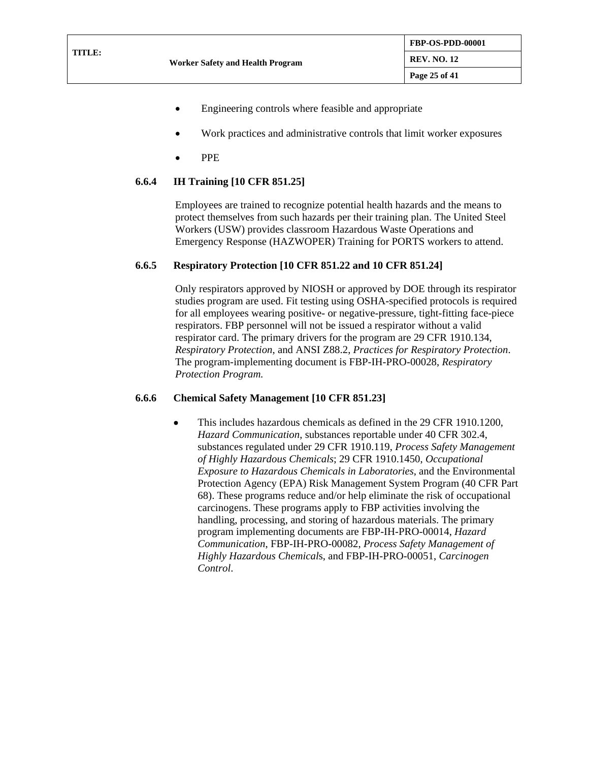- Engineering controls where feasible and appropriate
- Work practices and administrative controls that limit worker exposures
- PPE

## **6.6.4 IH Training [10 CFR 851.25]**

Employees are trained to recognize potential health hazards and the means to protect themselves from such hazards per their training plan. The United Steel Workers (USW) provides classroom Hazardous Waste Operations and Emergency Response (HAZWOPER) Training for PORTS workers to attend.

## **6.6.5 Respiratory Protection [10 CFR 851.22 and 10 CFR 851.24]**

Only respirators approved by NIOSH or approved by DOE through its respirator studies program are used. Fit testing using OSHA-specified protocols is required for all employees wearing positive- or negative-pressure, tight-fitting face-piece respirators. FBP personnel will not be issued a respirator without a valid respirator card. The primary drivers for the program are 29 CFR 1910.134, *Respiratory Protection*, and ANSI Z88.2, *Practices for Respiratory Protection*. The program-implementing document is FBP-IH-PRO-00028, *Respiratory Protection Program.*

## **6.6.6 Chemical Safety Management [10 CFR 851.23]**

• This includes hazardous chemicals as defined in the 29 CFR 1910.1200, *Hazard Communication*, substances reportable under 40 CFR 302.4, substances regulated under 29 CFR 1910.119, *Process Safety Management of Highly Hazardous Chemicals*; 29 CFR 1910.1450, *Occupational Exposure to Hazardous Chemicals in Laboratories*, and the Environmental Protection Agency (EPA) Risk Management System Program (40 CFR Part 68). These programs reduce and/or help eliminate the risk of occupational carcinogens. These programs apply to FBP activities involving the handling, processing, and storing of hazardous materials. The primary program implementing documents are FBP-IH-PRO-00014, *Hazard Communication*, FBP-IH-PRO-00082, *Process Safety Management of Highly Hazardous Chemical*s, and FBP-IH-PRO-00051, *Carcinogen Control*.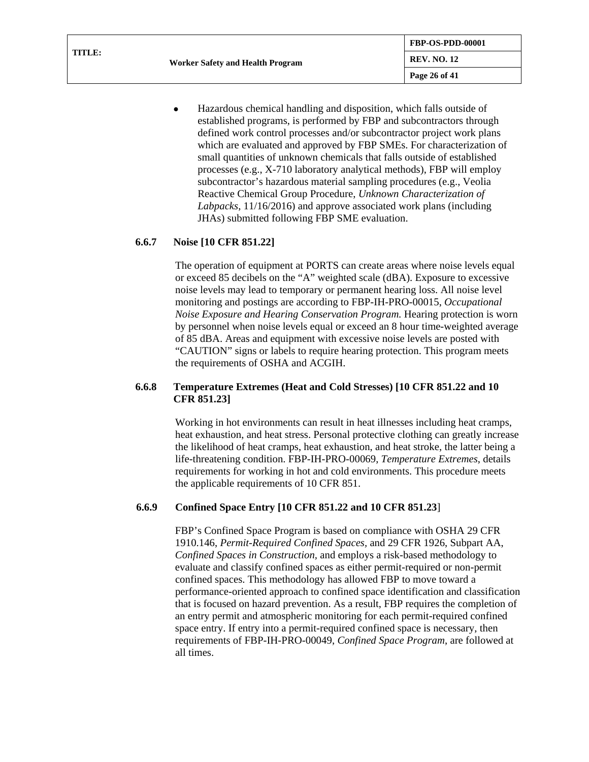| <b>TITLE:</b> | <b>Worker Safety and Health Program</b> | <b>FBP-OS-PDD-00001</b> |
|---------------|-----------------------------------------|-------------------------|
|               |                                         | <b>REV. NO. 12</b>      |
|               |                                         | Page 26 of 41           |

• Hazardous chemical handling and disposition, which falls outside of established programs, is performed by FBP and subcontractors through defined work control processes and/or subcontractor project work plans which are evaluated and approved by FBP SMEs. For characterization of small quantities of unknown chemicals that falls outside of established processes (e.g., X-710 laboratory analytical methods), FBP will employ subcontractor's hazardous material sampling procedures (e.g., Veolia Reactive Chemical Group Procedure, *Unknown Characterization of Labpacks*, 11/16/2016) and approve associated work plans (including JHAs) submitted following FBP SME evaluation.

### **6.6.7 Noise [10 CFR 851.22]**

The operation of equipment at PORTS can create areas where noise levels equal or exceed 85 decibels on the "A" weighted scale (dBA). Exposure to excessive noise levels may lead to temporary or permanent hearing loss. All noise level monitoring and postings are according to FBP-IH-PRO-00015, *Occupational Noise Exposure and Hearing Conservation Program.* Hearing protection is worn by personnel when noise levels equal or exceed an 8 hour time-weighted average of 85 dBA. Areas and equipment with excessive noise levels are posted with "CAUTION" signs or labels to require hearing protection. This program meets the requirements of OSHA and ACGIH.

### **6.6.8 Temperature Extremes (Heat and Cold Stresses) [10 CFR 851.22 and 10 CFR 851.23]**

Working in hot environments can result in heat illnesses including heat cramps, heat exhaustion, and heat stress. Personal protective clothing can greatly increase the likelihood of heat cramps, heat exhaustion, and heat stroke, the latter being a life-threatening condition. FBP-IH-PRO-00069, *Temperature Extremes*, details requirements for working in hot and cold environments. This procedure meets the applicable requirements of 10 CFR 851.

## **6.6.9 Confined Space Entry [10 CFR 851.22 and 10 CFR 851.23**]

FBP's Confined Space Program is based on compliance with OSHA 29 CFR 1910.146, *Permit-Required Confined Spaces,* and 29 CFR 1926, Subpart AA, *Confined Spaces in Construction,* and employs a risk-based methodology to evaluate and classify confined spaces as either permit-required or non-permit confined spaces. This methodology has allowed FBP to move toward a performance-oriented approach to confined space identification and classification that is focused on hazard prevention. As a result, FBP requires the completion of an entry permit and atmospheric monitoring for each permit-required confined space entry. If entry into a permit-required confined space is necessary, then requirements of FBP-IH-PRO-00049, *Confined Space Program*, are followed at all times.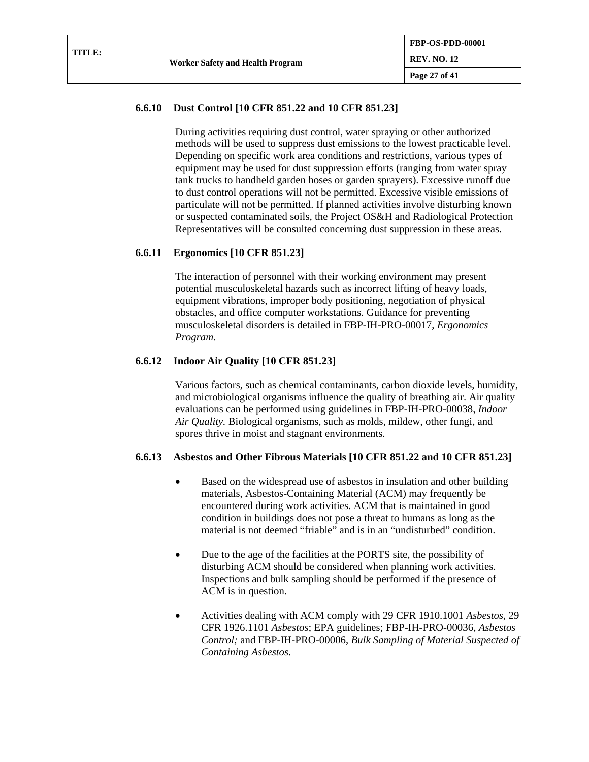## **6.6.10 Dust Control [10 CFR 851.22 and 10 CFR 851.23]**

During activities requiring dust control, water spraying or other authorized methods will be used to suppress dust emissions to the lowest practicable level. Depending on specific work area conditions and restrictions, various types of equipment may be used for dust suppression efforts (ranging from water spray tank trucks to handheld garden hoses or garden sprayers). Excessive runoff due to dust control operations will not be permitted. Excessive visible emissions of particulate will not be permitted. If planned activities involve disturbing known or suspected contaminated soils, the Project OS&H and Radiological Protection Representatives will be consulted concerning dust suppression in these areas.

### **6.6.11 Ergonomics [10 CFR 851.23]**

The interaction of personnel with their working environment may present potential musculoskeletal hazards such as incorrect lifting of heavy loads, equipment vibrations, improper body positioning, negotiation of physical obstacles, and office computer workstations. Guidance for preventing musculoskeletal disorders is detailed in FBP-IH-PRO-00017, *Ergonomics Program*.

### **6.6.12 Indoor Air Quality [10 CFR 851.23]**

Various factors, such as chemical contaminants, carbon dioxide levels, humidity, and microbiological organisms influence the quality of breathing air. Air quality evaluations can be performed using guidelines in FBP-IH-PRO-00038, *Indoor Air Quality.* Biological organisms, such as molds, mildew, other fungi, and spores thrive in moist and stagnant environments.

## **6.6.13 Asbestos and Other Fibrous Materials [10 CFR 851.22 and 10 CFR 851.23]**

- Based on the widespread use of asbestos in insulation and other building materials, Asbestos-Containing Material (ACM) may frequently be encountered during work activities. ACM that is maintained in good condition in buildings does not pose a threat to humans as long as the material is not deemed "friable" and is in an "undisturbed" condition.
- Due to the age of the facilities at the PORTS site, the possibility of disturbing ACM should be considered when planning work activities. Inspections and bulk sampling should be performed if the presence of ACM is in question.
- Activities dealing with ACM comply with 29 CFR 1910.1001 *Asbestos,* 29 CFR 1926.1101 *Asbestos*; EPA guidelines; FBP-IH-PRO-00036, *Asbestos Control;* and FBP-IH-PRO-00006, *Bulk Sampling of Material Suspected of Containing Asbestos*.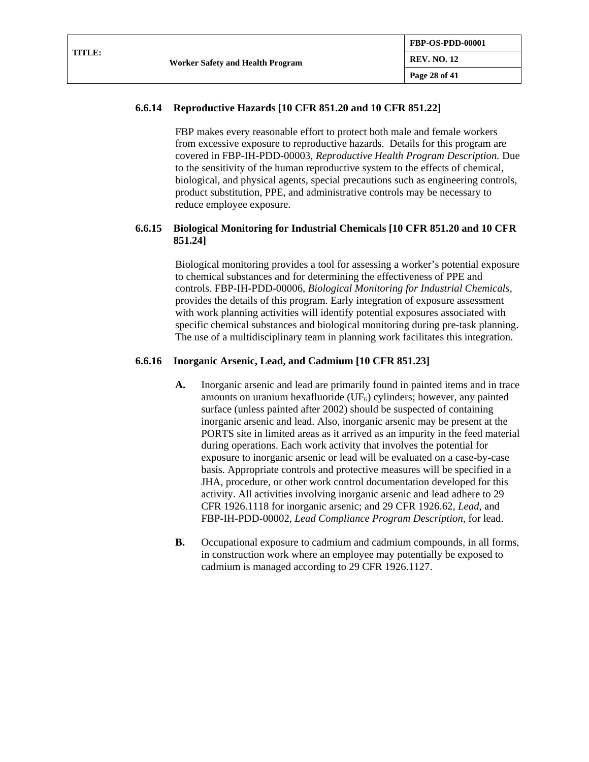## **6.6.14 Reproductive Hazards [10 CFR 851.20 and 10 CFR 851.22]**

FBP makes every reasonable effort to protect both male and female workers from excessive exposure to reproductive hazards. Details for this program are covered in FBP-IH-PDD-00003, *Reproductive Health Program Description.* Due to the sensitivity of the human reproductive system to the effects of chemical, biological, and physical agents, special precautions such as engineering controls, product substitution, PPE, and administrative controls may be necessary to reduce employee exposure.

### **6.6.15 Biological Monitoring for Industrial Chemicals [10 CFR 851.20 and 10 CFR 851.24]**

Biological monitoring provides a tool for assessing a worker's potential exposure to chemical substances and for determining the effectiveness of PPE and controls. FBP-IH-PDD-00006, *Biological Monitoring for Industrial Chemicals,*  provides the details of this program. Early integration of exposure assessment with work planning activities will identify potential exposures associated with specific chemical substances and biological monitoring during pre-task planning. The use of a multidisciplinary team in planning work facilitates this integration.

### **6.6.16 Inorganic Arsenic, Lead, and Cadmium [10 CFR 851.23]**

- **A.** Inorganic arsenic and lead are primarily found in painted items and in trace amounts on uranium hexafluoride (UF6) cylinders; however, any painted surface (unless painted after 2002) should be suspected of containing inorganic arsenic and lead. Also, inorganic arsenic may be present at the PORTS site in limited areas as it arrived as an impurity in the feed material during operations. Each work activity that involves the potential for exposure to inorganic arsenic or lead will be evaluated on a case-by-case basis. Appropriate controls and protective measures will be specified in a JHA, procedure, or other work control documentation developed for this activity. All activities involving inorganic arsenic and lead adhere to 29 CFR 1926.1118 for inorganic arsenic; and 29 CFR 1926.62, *Lead*, and FBP-IH-PDD-00002, *Lead Compliance Program Description*, for lead.
- **B.** Occupational exposure to cadmium and cadmium compounds, in all forms, in construction work where an employee may potentially be exposed to cadmium is managed according to 29 CFR 1926.1127.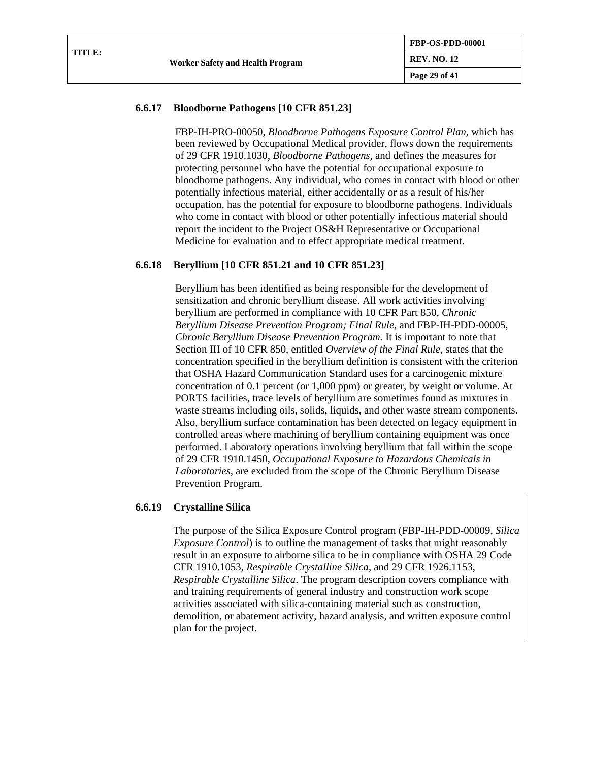## **6.6.17 Bloodborne Pathogens [10 CFR 851.23]**

FBP-IH-PRO-00050, *Bloodborne Pathogens Exposure Control Plan,* which has been reviewed by Occupational Medical provider, flows down the requirements of 29 CFR 1910.1030, *Bloodborne Pathogens*, and defines the measures for protecting personnel who have the potential for occupational exposure to bloodborne pathogens. Any individual, who comes in contact with blood or other potentially infectious material, either accidentally or as a result of his/her occupation, has the potential for exposure to bloodborne pathogens. Individuals who come in contact with blood or other potentially infectious material should report the incident to the Project OS&H Representative or Occupational Medicine for evaluation and to effect appropriate medical treatment.

## **6.6.18 Beryllium [10 CFR 851.21 and 10 CFR 851.23]**

Beryllium has been identified as being responsible for the development of sensitization and chronic beryllium disease. All work activities involving beryllium are performed in compliance with 10 CFR Part 850, *Chronic Beryllium Disease Prevention Program; Final Rule*, and FBP-IH-PDD-00005, *Chronic Beryllium Disease Prevention Program.* It is important to note that Section III of 10 CFR 850, entitled *Overview of the Final Rule*, states that the concentration specified in the beryllium definition is consistent with the criterion that OSHA Hazard Communication Standard uses for a carcinogenic mixture concentration of 0.1 percent (or 1,000 ppm) or greater, by weight or volume. At PORTS facilities, trace levels of beryllium are sometimes found as mixtures in waste streams including oils, solids, liquids, and other waste stream components. Also, beryllium surface contamination has been detected on legacy equipment in controlled areas where machining of beryllium containing equipment was once performed. Laboratory operations involving beryllium that fall within the scope of 29 CFR 1910.1450, *Occupational Exposure to Hazardous Chemicals in Laboratories,* are excluded from the scope of the Chronic Beryllium Disease Prevention Program.

## **6.6.19 Crystalline Silica**

The purpose of the Silica Exposure Control program (FBP-IH-PDD-00009, *Silica Exposure Control*) is to outline the management of tasks that might reasonably result in an exposure to airborne silica to be in compliance with OSHA 29 Code CFR 1910.1053, *Respirable Crystalline Silica*, and 29 CFR 1926.1153, *Respirable Crystalline Silica*. The program description covers compliance with and training requirements of general industry and construction work scope activities associated with silica-containing material such as construction, demolition, or abatement activity, hazard analysis, and written exposure control plan for the project.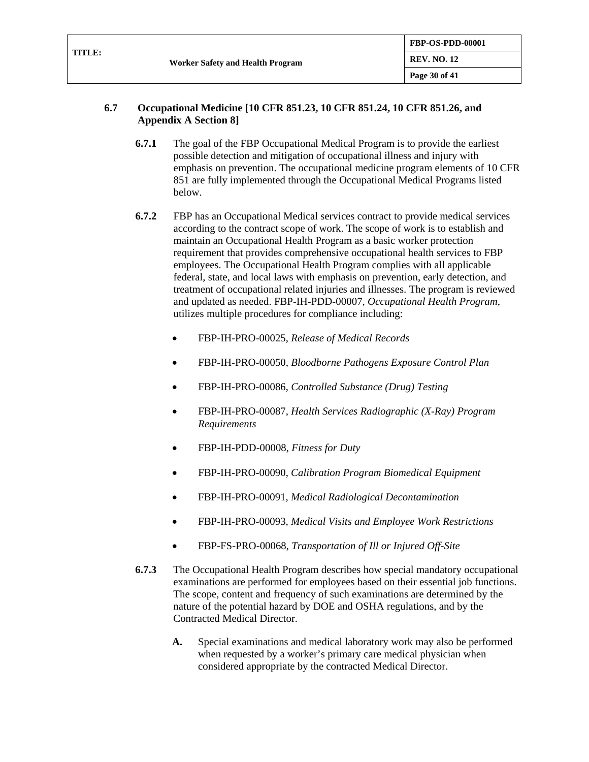| TITLE: |                                  | <b>FBP-OS-PDD-00001</b> |
|--------|----------------------------------|-------------------------|
|        | Worker Safety and Health Program | <b>REV. NO. 12</b>      |
|        |                                  | Page 30 of 41           |

### **6.7 Occupational Medicine [10 CFR 851.23, 10 CFR 851.24, 10 CFR 851.26, and Appendix A Section 8]**

- **6.7.1** The goal of the FBP Occupational Medical Program is to provide the earliest possible detection and mitigation of occupational illness and injury with emphasis on prevention. The occupational medicine program elements of 10 CFR 851 are fully implemented through the Occupational Medical Programs listed below.
- **6.7.2** FBP has an Occupational Medical services contract to provide medical services according to the contract scope of work. The scope of work is to establish and maintain an Occupational Health Program as a basic worker protection requirement that provides comprehensive occupational health services to FBP employees. The Occupational Health Program complies with all applicable federal, state, and local laws with emphasis on prevention, early detection, and treatment of occupational related injuries and illnesses. The program is reviewed and updated as needed. FBP-IH-PDD-00007, *Occupational Health Program*, utilizes multiple procedures for compliance including:
	- FBP-IH-PRO-00025, *Release of Medical Records*
	- FBP-IH-PRO-00050, *Bloodborne Pathogens Exposure Control Plan*
	- FBP-IH-PRO-00086, *Controlled Substance (Drug) Testing*
	- FBP-IH-PRO-00087, *Health Services Radiographic (X-Ray) Program Requirements*
	- FBP-IH-PDD-00008, *Fitness for Duty*
	- FBP-IH-PRO-00090, *Calibration Program Biomedical Equipment*
	- FBP-IH-PRO-00091, *Medical Radiological Decontamination*
	- FBP-IH-PRO-00093, *Medical Visits and Employee Work Restrictions*
	- FBP-FS-PRO-00068, *Transportation of Ill or Injured Off-Site*
- **6.7.3** The Occupational Health Program describes how special mandatory occupational examinations are performed for employees based on their essential job functions. The scope, content and frequency of such examinations are determined by the nature of the potential hazard by DOE and OSHA regulations, and by the Contracted Medical Director.
	- **A.** Special examinations and medical laboratory work may also be performed when requested by a worker's primary care medical physician when considered appropriate by the contracted Medical Director.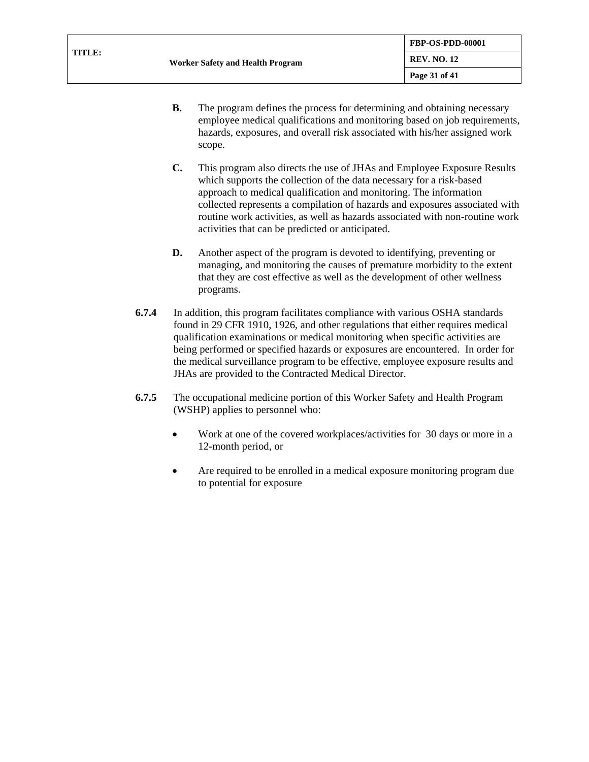| TITLE: | <b>Worker Safety and Health Program</b> | <b>FBP-OS-PDD-00001</b> |
|--------|-----------------------------------------|-------------------------|
|        |                                         | <b>REV. NO. 12</b>      |
|        |                                         | Page 31 of 41           |

- **B.** The program defines the process for determining and obtaining necessary employee medical qualifications and monitoring based on job requirements, hazards, exposures, and overall risk associated with his/her assigned work scope.
- **C.** This program also directs the use of JHAs and Employee Exposure Results which supports the collection of the data necessary for a risk-based approach to medical qualification and monitoring. The information collected represents a compilation of hazards and exposures associated with routine work activities, as well as hazards associated with non-routine work activities that can be predicted or anticipated.
- **D.** Another aspect of the program is devoted to identifying, preventing or managing, and monitoring the causes of premature morbidity to the extent that they are cost effective as well as the development of other wellness programs.
- **6.7.4** In addition, this program facilitates compliance with various OSHA standards found in 29 CFR 1910, 1926, and other regulations that either requires medical qualification examinations or medical monitoring when specific activities are being performed or specified hazards or exposures are encountered. In order for the medical surveillance program to be effective, employee exposure results and JHAs are provided to the Contracted Medical Director.
- **6.7.5** The occupational medicine portion of this Worker Safety and Health Program (WSHP) applies to personnel who:
	- Work at one of the covered workplaces/activities for 30 days or more in a 12-month period, or
	- Are required to be enrolled in a medical exposure monitoring program due to potential for exposure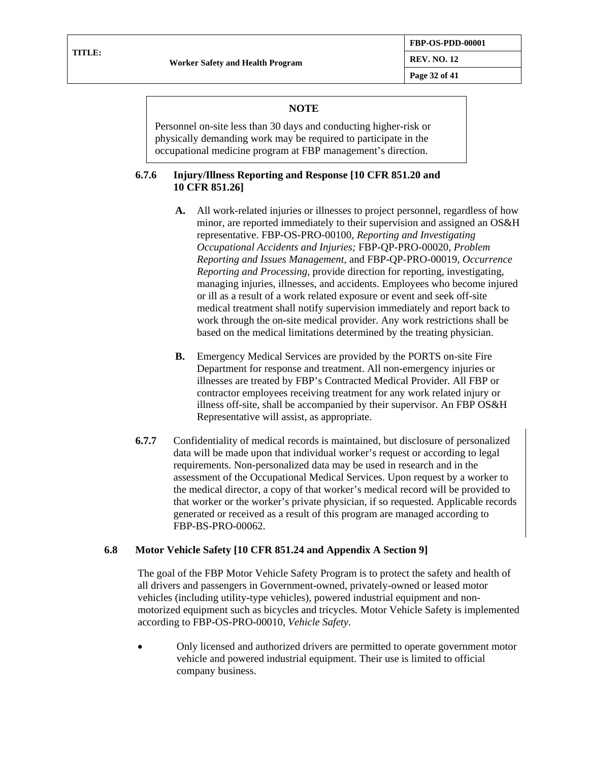**Page 32 of 41**

### **NOTE**

Personnel on-site less than 30 days and conducting higher-risk or physically demanding work may be required to participate in the occupational medicine program at FBP management's direction.

### **6.7.6 Injury/Illness Reporting and Response [10 CFR 851.20 and 10 CFR 851.26]**

- **A.** All work-related injuries or illnesses to project personnel, regardless of how minor, are reported immediately to their supervision and assigned an OS&H representative. FBP-OS-PRO-00100, *Reporting and Investigating Occupational Accidents and Injuries;* FBP-QP-PRO-00020, *Problem Reporting and Issues Management,* and FBP-QP-PRO-00019, *Occurrence Reporting and Processing,* provide direction for reporting, investigating, managing injuries, illnesses, and accidents. Employees who become injured or ill as a result of a work related exposure or event and seek off-site medical treatment shall notify supervision immediately and report back to work through the on-site medical provider. Any work restrictions shall be based on the medical limitations determined by the treating physician.
- **B.** Emergency Medical Services are provided by the PORTS on-site Fire Department for response and treatment. All non-emergency injuries or illnesses are treated by FBP's Contracted Medical Provider. All FBP or contractor employees receiving treatment for any work related injury or illness off-site, shall be accompanied by their supervisor. An FBP OS&H Representative will assist, as appropriate.
- **6.7.7** Confidentiality of medical records is maintained, but disclosure of personalized data will be made upon that individual worker's request or according to legal requirements. Non-personalized data may be used in research and in the assessment of the Occupational Medical Services. Upon request by a worker to the medical director, a copy of that worker's medical record will be provided to that worker or the worker's private physician, if so requested. Applicable records generated or received as a result of this program are managed according to FBP-BS-PRO-00062.

## **6.8 Motor Vehicle Safety [10 CFR 851.24 and Appendix A Section 9]**

The goal of the FBP Motor Vehicle Safety Program is to protect the safety and health of all drivers and passengers in Government-owned, privately-owned or leased motor vehicles (including utility-type vehicles), powered industrial equipment and nonmotorized equipment such as bicycles and tricycles. Motor Vehicle Safety is implemented according to FBP-OS-PRO-00010, *Vehicle Safety*.

• Only licensed and authorized drivers are permitted to operate government motor vehicle and powered industrial equipment. Their use is limited to official company business.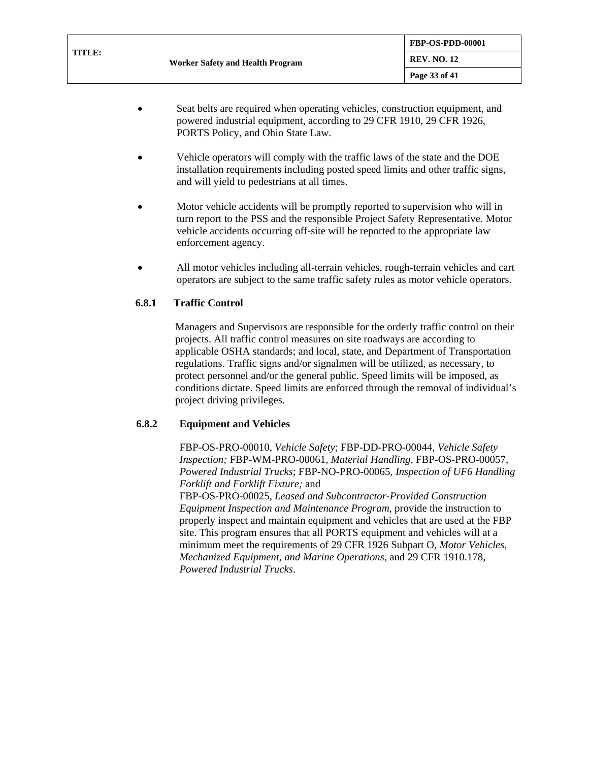- Seat belts are required when operating vehicles, construction equipment, and powered industrial equipment, according to 29 CFR 1910, 29 CFR 1926, PORTS Policy, and Ohio State Law.
- Vehicle operators will comply with the traffic laws of the state and the DOE installation requirements including posted speed limits and other traffic signs, and will yield to pedestrians at all times.
- Motor vehicle accidents will be promptly reported to supervision who will in turn report to the PSS and the responsible Project Safety Representative. Motor vehicle accidents occurring off-site will be reported to the appropriate law enforcement agency.
- All motor vehicles including all-terrain vehicles, rough-terrain vehicles and cart operators are subject to the same traffic safety rules as motor vehicle operators.

## **6.8.1 Traffic Control**

Managers and Supervisors are responsible for the orderly traffic control on their projects. All traffic control measures on site roadways are according to applicable OSHA standards; and local, state, and Department of Transportation regulations. Traffic signs and/or signalmen will be utilized, as necessary, to protect personnel and/or the general public. Speed limits will be imposed, as conditions dictate. Speed limits are enforced through the removal of individual's project driving privileges.

## **6.8.2 Equipment and Vehicles**

FBP-OS-PRO-00010, *Vehicle Safety*; FBP-DD-PRO-00044, *Vehicle Safety Inspection;* FBP-WM-PRO-00061, *Material Handling,* FBP-OS-PRO-00057, *Powered Industrial Trucks*; FBP-NO-PRO-00065, *Inspection of UF6 Handling Forklift and Forklift Fixture;* and

FBP-OS-PRO-00025, *Leased and Subcontractor-Provided Construction Equipment Inspection and Maintenance Program*, provide the instruction to properly inspect and maintain equipment and vehicles that are used at the FBP site. This program ensures that all PORTS equipment and vehicles will at a minimum meet the requirements of 29 CFR 1926 Subpart O, *Motor Vehicles, Mechanized Equipment, and Marine Operations,* and 29 CFR 1910.178, *Powered Industrial Trucks*.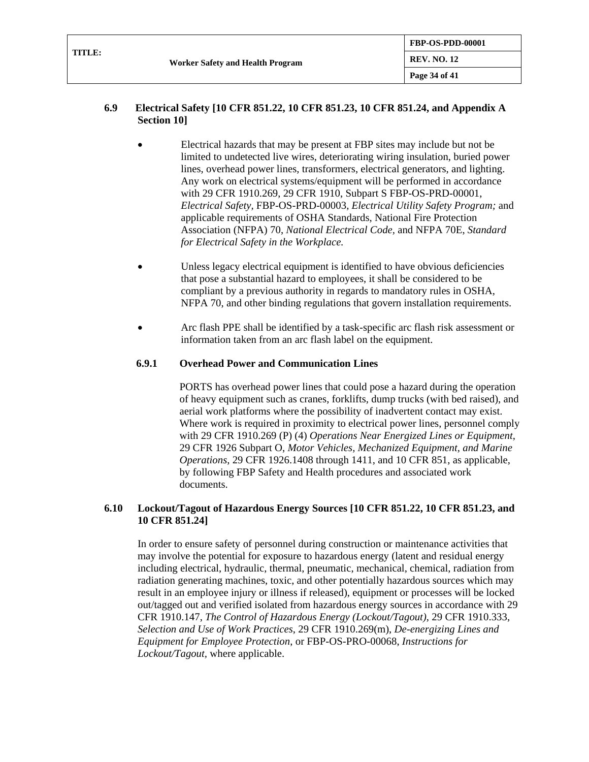| TITLE: |                                  | FBP-OS-PDD-00001   |
|--------|----------------------------------|--------------------|
|        | Worker Safety and Health Program | <b>REV. NO. 12</b> |
|        |                                  | Page 34 of 41      |

### **6.9 Electrical Safety [10 CFR 851.22, 10 CFR 851.23, 10 CFR 851.24, and Appendix A Section 10]**

- Electrical hazards that may be present at FBP sites may include but not be limited to undetected live wires, deteriorating wiring insulation, buried power lines, overhead power lines, transformers, electrical generators, and lighting. Any work on electrical systems/equipment will be performed in accordance with 29 CFR 1910.269, 29 CFR 1910, Subpart S FBP-OS-PRD-00001, *Electrical Safety,* FBP-OS-PRD-00003*, Electrical Utility Safety Program;* and applicable requirements of OSHA Standards, National Fire Protection Association (NFPA) 70, *National Electrical Code,* and NFPA 70E, *Standard for Electrical Safety in the Workplace.*
- Unless legacy electrical equipment is identified to have obvious deficiencies that pose a substantial hazard to employees, it shall be considered to be compliant by a previous authority in regards to mandatory rules in OSHA, NFPA 70, and other binding regulations that govern installation requirements.
- Arc flash PPE shall be identified by a task-specific arc flash risk assessment or information taken from an arc flash label on the equipment.

### **6.9.1 Overhead Power and Communication Lines**

PORTS has overhead power lines that could pose a hazard during the operation of heavy equipment such as cranes, forklifts, dump trucks (with bed raised), and aerial work platforms where the possibility of inadvertent contact may exist. Where work is required in proximity to electrical power lines, personnel comply with 29 CFR 1910.269 (P) (4) *Operations Near Energized Lines or Equipment*, 29 CFR 1926 Subpart O, *Motor Vehicles, Mechanized Equipment, and Marine Operations*, 29 CFR 1926.1408 through 1411, and 10 CFR 851, as applicable, by following FBP Safety and Health procedures and associated work documents.

### **6.10 Lockout/Tagout of Hazardous Energy Sources [10 CFR 851.22, 10 CFR 851.23, and 10 CFR 851.24]**

In order to ensure safety of personnel during construction or maintenance activities that may involve the potential for exposure to hazardous energy (latent and residual energy including electrical, hydraulic, thermal, pneumatic, mechanical, chemical, radiation from radiation generating machines, toxic, and other potentially hazardous sources which may result in an employee injury or illness if released), equipment or processes will be locked out/tagged out and verified isolated from hazardous energy sources in accordance with 29 CFR 1910.147, *The Control of Hazardous Energy (Lockout/Tagout)*, 29 CFR 1910.333, *Selection and Use of Work Practices*, 29 CFR 1910.269(m), *De-energizing Lines and Equipment for Employee Protection*, or FBP-OS-PRO-00068, *Instructions for Lockout/Tagout,* where applicable.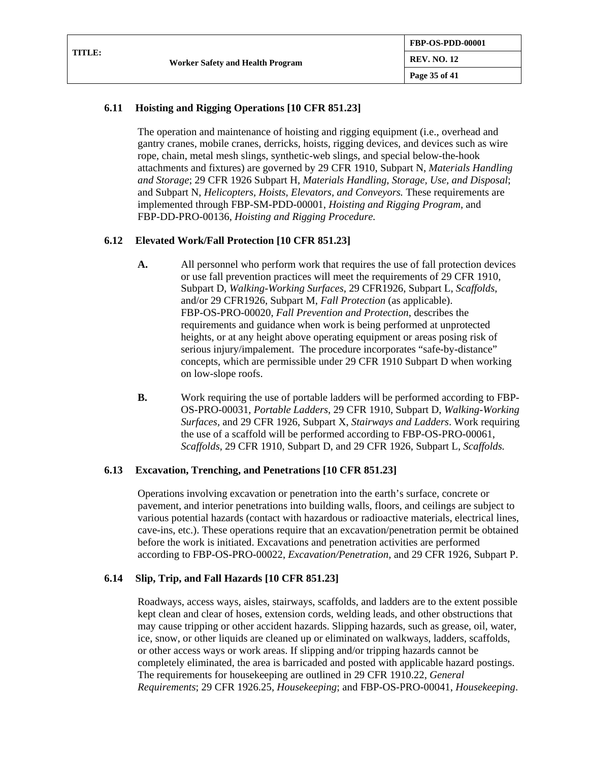| TITLE: | <b>Worker Safety and Health Program</b> | <b>FBP-OS-PDD-00001</b> |
|--------|-----------------------------------------|-------------------------|
|        |                                         | <b>REV. NO. 12</b>      |
|        |                                         | Page 35 of 41           |

## **6.11 Hoisting and Rigging Operations [10 CFR 851.23]**

The operation and maintenance of hoisting and rigging equipment (i.e., overhead and gantry cranes, mobile cranes, derricks, hoists, rigging devices, and devices such as wire rope, chain, metal mesh slings, synthetic-web slings, and special below-the-hook attachments and fixtures) are governed by 29 CFR 1910, Subpart N, *Materials Handling and Storage*; 29 CFR 1926 Subpart H, *Materials Handling, Storage, Use, and Disposal*; and Subpart N, *Helicopters, Hoists, Elevators, and Conveyors.* These requirements are implemented through FBP-SM-PDD-00001, *Hoisting and Rigging Program,* and FBP-DD-PRO-00136, *Hoisting and Rigging Procedure.*

## **6.12 Elevated Work/Fall Protection [10 CFR 851.23]**

- **A.** All personnel who perform work that requires the use of fall protection devices or use fall prevention practices will meet the requirements of 29 CFR 1910, Subpart D, *Walking-Working Surfaces*, 29 CFR1926, Subpart L, *Scaffolds*, and/or 29 CFR1926, Subpart M, *Fall Protection* (as applicable). FBP-OS-PRO-00020, *Fall Prevention and Protection*, describes the requirements and guidance when work is being performed at unprotected heights, or at any height above operating equipment or areas posing risk of serious injury/impalement. The procedure incorporates "safe-by-distance" concepts, which are permissible under 29 CFR 1910 Subpart D when working on low-slope roofs.
- **B.** Work requiring the use of portable ladders will be performed according to FBP-OS-PRO-00031, *Portable Ladders*, 29 CFR 1910, Subpart D, *Walking-Working Surfaces,* and 29 CFR 1926, Subpart X, *Stairways and Ladders*. Work requiring the use of a scaffold will be performed according to FBP-OS-PRO-00061, *Scaffolds*, 29 CFR 1910, Subpart D, and 29 CFR 1926, Subpart L, *Scaffolds.*

#### **6.13 Excavation, Trenching, and Penetrations [10 CFR 851.23]**

Operations involving excavation or penetration into the earth's surface, concrete or pavement, and interior penetrations into building walls, floors, and ceilings are subject to various potential hazards (contact with hazardous or radioactive materials, electrical lines, cave-ins, etc.). These operations require that an excavation/penetration permit be obtained before the work is initiated. Excavations and penetration activities are performed according to FBP-OS-PRO-00022, *Excavation/Penetration,* and 29 CFR 1926, Subpart P.

#### **6.14 Slip, Trip, and Fall Hazards [10 CFR 851.23]**

Roadways, access ways, aisles, stairways, scaffolds, and ladders are to the extent possible kept clean and clear of hoses, extension cords, welding leads, and other obstructions that may cause tripping or other accident hazards. Slipping hazards, such as grease, oil, water, ice, snow, or other liquids are cleaned up or eliminated on walkways, ladders, scaffolds, or other access ways or work areas. If slipping and/or tripping hazards cannot be completely eliminated, the area is barricaded and posted with applicable hazard postings. The requirements for housekeeping are outlined in 29 CFR 1910.22, *General Requirements*; 29 CFR 1926.25, *Housekeeping*; and FBP-OS-PRO-00041, *Housekeeping*.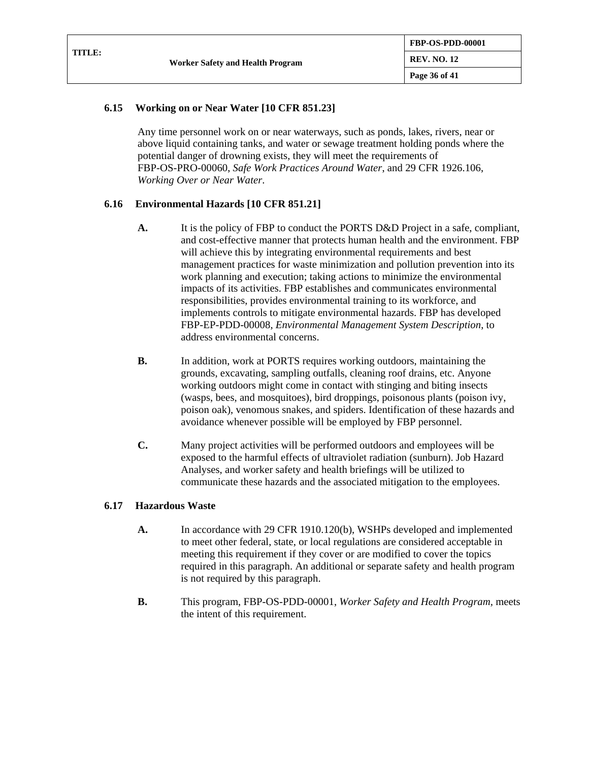| TITLE: |                                         | <b>FBP-OS-PDD-00001</b> |
|--------|-----------------------------------------|-------------------------|
|        | <b>Worker Safety and Health Program</b> | <b>REV. NO. 12</b>      |
|        |                                         | Page 36 of 41           |

## **6.15 Working on or Near Water [10 CFR 851.23]**

Any time personnel work on or near waterways, such as ponds, lakes, rivers, near or above liquid containing tanks, and water or sewage treatment holding ponds where the potential danger of drowning exists, they will meet the requirements of FBP-OS-PRO-00060, *Safe Work Practices Around Water*, and 29 CFR 1926.106, *Working Over or Near Water*.

## **6.16 Environmental Hazards [10 CFR 851.21]**

- **A.** It is the policy of FBP to conduct the PORTS D&D Project in a safe, compliant, and cost-effective manner that protects human health and the environment. FBP will achieve this by integrating environmental requirements and best management practices for waste minimization and pollution prevention into its work planning and execution; taking actions to minimize the environmental impacts of its activities. FBP establishes and communicates environmental responsibilities, provides environmental training to its workforce, and implements controls to mitigate environmental hazards. FBP has developed FBP-EP-PDD-00008, *Environmental Management System Description*, to address environmental concerns.
- **B.** In addition, work at PORTS requires working outdoors, maintaining the grounds, excavating, sampling outfalls, cleaning roof drains, etc. Anyone working outdoors might come in contact with stinging and biting insects (wasps, bees, and mosquitoes), bird droppings, poisonous plants (poison ivy, poison oak), venomous snakes, and spiders. Identification of these hazards and avoidance whenever possible will be employed by FBP personnel.
- **C.** Many project activities will be performed outdoors and employees will be exposed to the harmful effects of ultraviolet radiation (sunburn). Job Hazard Analyses, and worker safety and health briefings will be utilized to communicate these hazards and the associated mitigation to the employees.

## **6.17 Hazardous Waste**

- **A.** In accordance with 29 CFR [1910.120\(b\),](http://www.osha.gov/pls/oshaweb/owalink.query_links?src_doc_type=STANDARDS&src_unique_file=1910_0120&src_anchor_name=1910.120%28b%29) WSHPs developed and implemented to meet other federal, state, or local regulations are considered acceptable in meeting this requirement if they cover or are modified to cover the topics required in this paragraph. An additional or separate safety and health program is not required by this paragraph.
- **B.** This program, FBP-OS-PDD-00001, *Worker Safety and Health Program,* meets the intent of this requirement.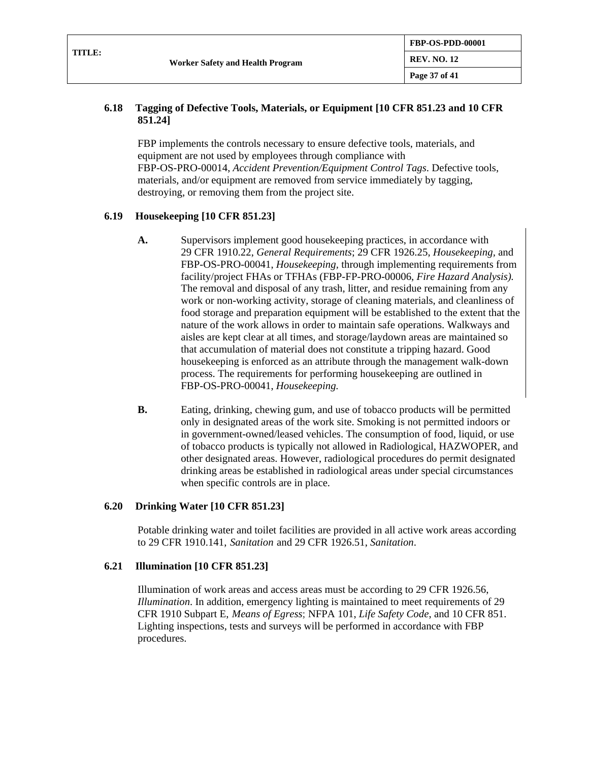| TITLE: |                                         | <b>FBP-OS-PDD-00001</b> |
|--------|-----------------------------------------|-------------------------|
|        | <b>Worker Safety and Health Program</b> | <b>REV. NO. 12</b>      |
|        |                                         | Page 37 of 41           |

### **6.18 Tagging of Defective Tools, Materials, or Equipment [10 CFR 851.23 and 10 CFR 851.24]**

FBP implements the controls necessary to ensure defective tools, materials, and equipment are not used by employees through compliance with FBP-OS-PRO-00014, *Accident Prevention/Equipment Control Tags*. Defective tools, materials, and/or equipment are removed from service immediately by tagging, destroying, or removing them from the project site.

#### **6.19 Housekeeping [10 CFR 851.23]**

- **A.** Supervisors implement good housekeeping practices, in accordance with 29 CFR 1910.22, *General Requirements*; 29 CFR 1926.25, *Housekeeping,* and FBP-OS-PRO-00041, *Housekeeping,* through implementing requirements from facility/project FHAs or TFHAs (FBP-FP-PRO-00006, *Fire Hazard Analysis).* The removal and disposal of any trash, litter, and residue remaining from any work or non-working activity, storage of cleaning materials, and cleanliness of food storage and preparation equipment will be established to the extent that the nature of the work allows in order to maintain safe operations. Walkways and aisles are kept clear at all times, and storage/laydown areas are maintained so that accumulation of material does not constitute a tripping hazard. Good housekeeping is enforced as an attribute through the management walk-down process. The requirements for performing housekeeping are outlined in FBP-OS-PRO-00041, *Housekeeping.*
- **B.** Eating, drinking, chewing gum, and use of tobacco products will be permitted only in designated areas of the work site. Smoking is not permitted indoors or in government-owned/leased vehicles. The consumption of food, liquid, or use of tobacco products is typically not allowed in Radiological, HAZWOPER, and other designated areas. However, radiological procedures do permit designated drinking areas be established in radiological areas under special circumstances when specific controls are in place.

#### **6.20 Drinking Water [10 CFR 851.23]**

Potable drinking water and toilet facilities are provided in all active work areas according to 29 CFR 1910.141, *Sanitation* and 29 CFR 1926.51, *Sanitation*.

#### **6.21 Illumination [10 CFR 851.23]**

Illumination of work areas and access areas must be according to 29 CFR 1926.56, *Illumination*. In addition, emergency lighting is maintained to meet requirements of 29 CFR 1910 Subpart E, *Means of Egress*; NFPA 101, *Life Safety Code*, and 10 CFR 851. Lighting inspections, tests and surveys will be performed in accordance with FBP procedures.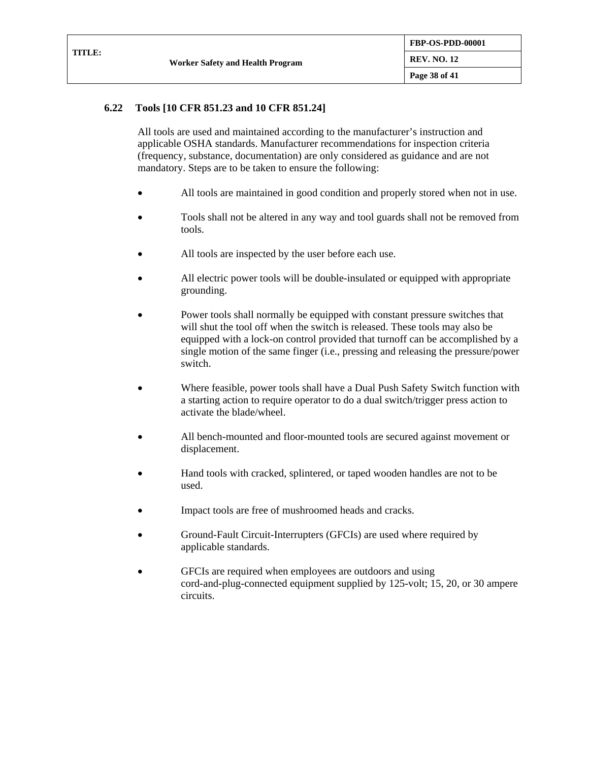| <b>TITLE:</b> |                                         | <b>FBP-OS-PDD-00001</b> |
|---------------|-----------------------------------------|-------------------------|
|               | <b>Worker Safety and Health Program</b> | <b>REV. NO. 12</b>      |
|               |                                         | <b>Page 38 of 41</b>    |

### **6.22 Tools [10 CFR 851.23 and 10 CFR 851.24]**

All tools are used and maintained according to the manufacturer's instruction and applicable OSHA standards. Manufacturer recommendations for inspection criteria (frequency, substance, documentation) are only considered as guidance and are not mandatory. Steps are to be taken to ensure the following:

- All tools are maintained in good condition and properly stored when not in use.
- Tools shall not be altered in any way and tool guards shall not be removed from tools.
- All tools are inspected by the user before each use.
- All electric power tools will be double-insulated or equipped with appropriate grounding.
- Power tools shall normally be equipped with constant pressure switches that will shut the tool off when the switch is released. These tools may also be equipped with a lock-on control provided that turnoff can be accomplished by a single motion of the same finger (i.e., pressing and releasing the pressure/power switch.
- Where feasible, power tools shall have a Dual Push Safety Switch function with a starting action to require operator to do a dual switch/trigger press action to activate the blade/wheel.
- All bench-mounted and floor-mounted tools are secured against movement or displacement.
- Hand tools with cracked, splintered, or taped wooden handles are not to be used.
- Impact tools are free of mushroomed heads and cracks.
- Ground-Fault Circuit-Interrupters (GFCIs) are used where required by applicable standards.
- GFCIs are required when employees are outdoors and using cord-and-plug-connected equipment supplied by 125-volt; 15, 20, or 30 ampere circuits.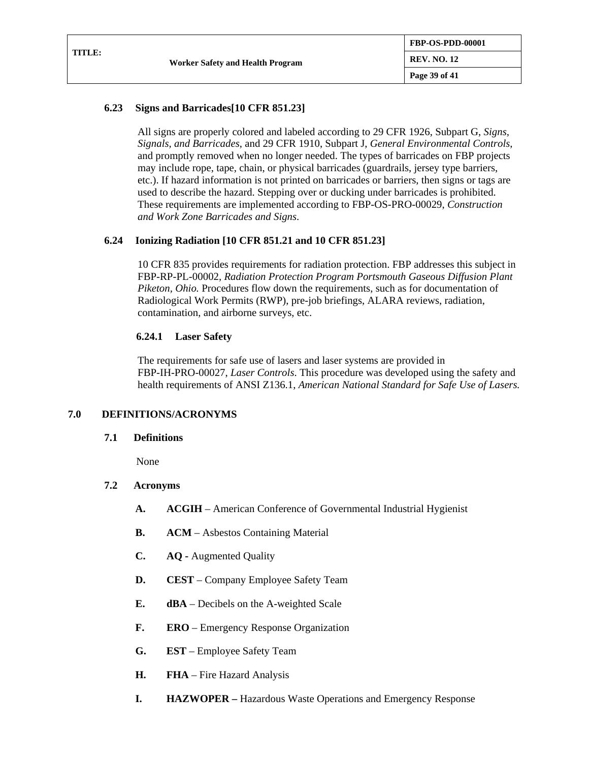### **6.23 Signs and Barricades[10 CFR 851.23]**

All signs are properly colored and labeled according to 29 CFR 1926, Subpart G, *Signs, Signals, and Barricades*, and 29 CFR 1910, Subpart J, *General Environmental Controls*, and promptly removed when no longer needed. The types of barricades on FBP projects may include rope, tape, chain, or physical barricades (guardrails, jersey type barriers, etc.). If hazard information is not printed on barricades or barriers, then signs or tags are used to describe the hazard. Stepping over or ducking under barricades is prohibited. These requirements are implemented according to FBP-OS-PRO-00029, *Construction and Work Zone Barricades and Signs*.

#### **6.24 Ionizing Radiation [10 CFR 851.21 and 10 CFR 851.23]**

10 CFR 835 provides requirements for radiation protection. FBP addresses this subject in FBP-RP-PL-00002*, Radiation Protection Program Portsmouth Gaseous Diffusion Plant Piketon, Ohio.* Procedures flow down the requirements, such as for documentation of Radiological Work Permits (RWP), pre-job briefings, ALARA reviews, radiation, contamination, and airborne surveys, etc.

#### **6.24.1 Laser Safety**

The requirements for safe use of lasers and laser systems are provided in FBP-IH-PRO-00027, *Laser Controls*. This procedure was developed using the safety and health requirements of ANSI Z136.1, *American National Standard for Safe Use of Lasers.*

#### **7.0 DEFINITIONS/ACRONYMS**

#### **7.1 Definitions**

None

#### **7.2 Acronyms**

- **A. ACGIH** American Conference of Governmental Industrial Hygienist
- **B. ACM** Asbestos Containing Material
- **C. AQ -** Augmented Quality
- **D. CEST** Company Employee Safety Team
- **E. dBA** Decibels on the A-weighted Scale
- **F. ERO** Emergency Response Organization
- **G. EST** Employee Safety Team
- **H. FHA** Fire Hazard Analysis
- **I. HAZWOPER –** Hazardous Waste Operations and Emergency Response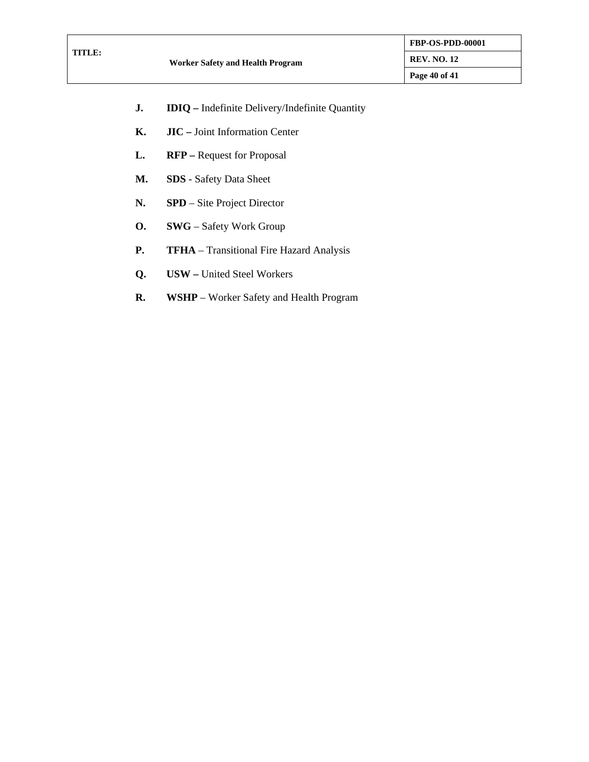- **J. IDIQ –** Indefinite Delivery/Indefinite Quantity
- **K. JIC –** Joint Information Center
- **L. RFP –** Request for Proposal
- **M. SDS** Safety Data Sheet
- **N. SPD**  Site Project Director
- **O. SWG** Safety Work Group
- **P. TFHA** Transitional Fire Hazard Analysis
- **Q. USW –** United Steel Workers
- **R. WSHP** Worker Safety and Health Program